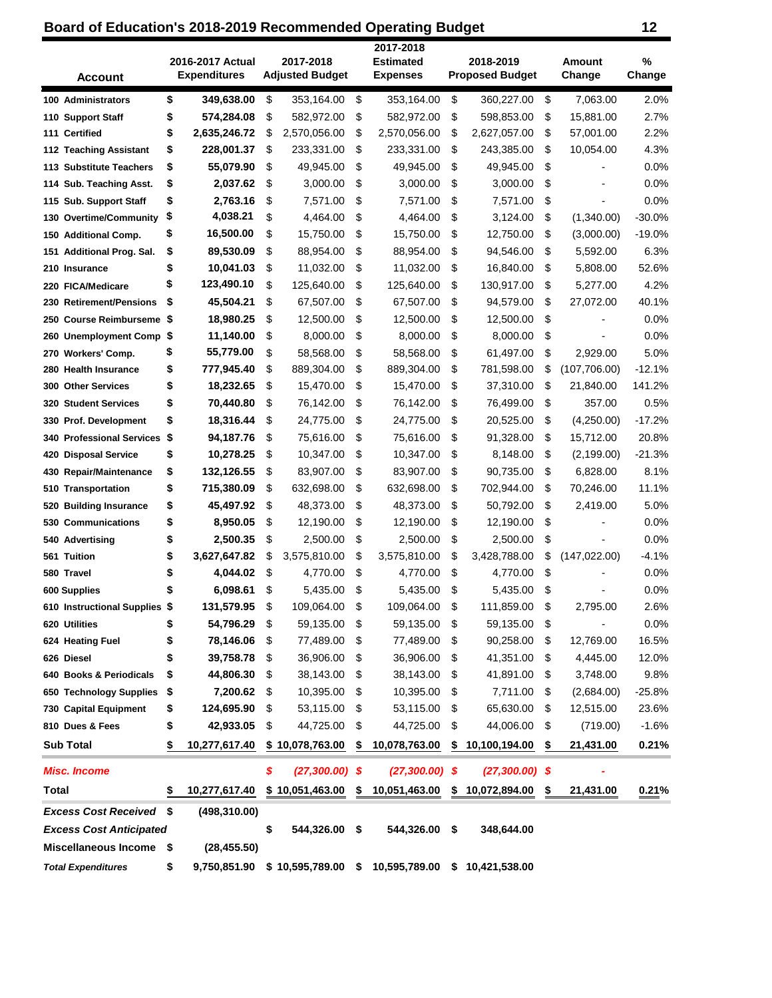## **Board of Education's 2018-2019 Recommended Operating Budget 12 12**

| <b>Account</b>                      |      | 2016-2017 Actual<br><b>Expenditures</b> | 2017-2018<br><b>Adjusted Budget</b> | 2017-2018<br><b>Estimated</b><br><b>Expenses</b> |           | 2018-2019<br><b>Proposed Budget</b> | <b>Amount</b><br>Change | %<br>Change |
|-------------------------------------|------|-----------------------------------------|-------------------------------------|--------------------------------------------------|-----------|-------------------------------------|-------------------------|-------------|
| 100 Administrators                  | \$   | 349,638.00                              | \$<br>353,164.00                    | \$<br>353,164.00                                 | \$        | 360,227.00                          | \$<br>7,063.00          | 2.0%        |
| 110 Support Staff                   | \$   | 574,284.08                              | \$<br>582,972.00                    | \$<br>582,972.00                                 | \$        | 598,853.00                          | \$<br>15,881.00         | 2.7%        |
| 111 Certified                       | \$   | 2,635,246.72                            | \$<br>2,570,056.00                  | \$<br>2,570,056.00                               | \$        | 2,627,057.00                        | \$<br>57,001.00         | 2.2%        |
| 112 Teaching Assistant              | \$   | 228,001.37                              | \$<br>233,331.00                    | \$<br>233,331.00                                 | \$        | 243,385.00                          | \$<br>10,054.00         | 4.3%        |
| 113 Substitute Teachers             | \$   | 55,079.90                               | \$<br>49,945.00                     | \$<br>49,945.00                                  | \$        | 49,945.00                           | \$                      | 0.0%        |
| 114 Sub. Teaching Asst.             | \$   | 2,037.62                                | \$<br>3,000.00                      | \$<br>3,000.00                                   | \$        | 3,000.00                            | \$                      | 0.0%        |
| 115 Sub. Support Staff              | \$   | 2,763.16                                | \$<br>7,571.00                      | \$<br>7,571.00                                   | \$        | 7,571.00                            | \$                      | 0.0%        |
| 130 Overtime/Community              | \$   | 4,038.21                                | \$<br>4,464.00                      | \$<br>4,464.00                                   | \$        | 3,124.00                            | \$<br>(1,340.00)        | $-30.0%$    |
| 150 Additional Comp.                | \$   | 16,500.00                               | \$<br>15,750.00                     | \$<br>15,750.00                                  | \$        | 12,750.00                           | \$<br>(3,000.00)        | $-19.0%$    |
| <b>Additional Prog. Sal.</b><br>151 | \$   | 89,530.09                               | \$<br>88,954.00                     | \$<br>88,954.00                                  | \$        | 94,546.00                           | \$<br>5,592.00          | 6.3%        |
| 210 Insurance                       | \$   | 10,041.03                               | \$<br>11,032.00                     | \$<br>11,032.00                                  | \$        | 16,840.00                           | \$<br>5,808.00          | 52.6%       |
| 220 FICA/Medicare                   | \$   | 123,490.10                              | \$<br>125,640.00                    | \$<br>125,640.00                                 | \$        | 130,917.00                          | \$<br>5,277.00          | 4.2%        |
| 230 Retirement/Pensions             | \$   | 45,504.21                               | \$<br>67,507.00                     | \$<br>67,507.00                                  | \$        | 94,579.00                           | \$<br>27,072.00         | 40.1%       |
| <b>Course Reimburseme</b><br>250    | - \$ | 18,980.25                               | \$<br>12,500.00                     | \$<br>12,500.00                                  | \$        | 12,500.00                           | \$                      | 0.0%        |
| <b>Unemployment Comp</b><br>260     | \$   | 11,140.00                               | \$<br>8,000.00                      | \$<br>8,000.00                                   | \$        | 8,000.00                            | \$                      | 0.0%        |
| 270 Workers' Comp.                  | \$   | 55,779.00                               | \$<br>58,568.00                     | \$<br>58,568.00                                  | \$        | 61,497.00                           | \$<br>2,929.00          | 5.0%        |
| 280 Health Insurance                | \$   | 777,945.40                              | \$<br>889,304.00                    | \$<br>889,304.00                                 | \$        | 781,598.00                          | \$<br>(107,706.00)      | $-12.1%$    |
| <b>Other Services</b><br>300        | \$   | 18,232.65                               | \$<br>15,470.00                     | \$<br>15,470.00                                  | \$        | 37,310.00                           | \$<br>21,840.00         | 141.2%      |
| <b>Student Services</b><br>320      | \$   | 70,440.80                               | \$<br>76,142.00                     | \$<br>76,142.00                                  | \$        | 76,499.00                           | \$<br>357.00            | 0.5%        |
| 330 Prof. Development               | \$   | 18,316.44                               | \$<br>24,775.00                     | \$<br>24,775.00                                  | \$        | 20,525.00                           | \$<br>(4,250.00)        | $-17.2%$    |
| <b>340 Professional Services</b>    | \$   | 94,187.76                               | \$<br>75,616.00                     | \$<br>75,616.00                                  | \$        | 91,328.00                           | \$<br>15,712.00         | 20.8%       |
| <b>Disposal Service</b><br>420      | \$   | 10,278.25                               | \$<br>10,347.00                     | \$<br>10,347.00                                  | \$        | 8,148.00                            | \$<br>(2, 199.00)       | $-21.3%$    |
| <b>Repair/Maintenance</b><br>430    | \$   | 132,126.55                              | \$<br>83,907.00                     | \$<br>83,907.00                                  | \$        | 90,735.00                           | \$<br>6,828.00          | 8.1%        |
| Transportation<br>510               | \$   | 715,380.09                              | \$<br>632,698.00                    | \$<br>632,698.00                                 | \$        | 702,944.00                          | \$<br>70,246.00         | 11.1%       |
| <b>Building Insurance</b><br>520    | \$   | 45,497.92                               | \$<br>48,373.00                     | \$<br>48,373.00                                  | \$        | 50,792.00                           | \$<br>2,419.00          | 5.0%        |
| <b>Communications</b><br>530        | \$   | 8,950.05                                | \$<br>12,190.00                     | \$<br>12,190.00                                  | \$        | 12,190.00                           | \$                      | 0.0%        |
| 540 Advertising                     | \$   | 2,500.35                                | \$<br>2,500.00                      | \$<br>2,500.00                                   | \$        | 2,500.00                            | \$                      | 0.0%        |
| 561 Tuition                         | \$   | 3,627,647.82                            | \$<br>3,575,810.00                  | \$<br>3,575,810.00                               | \$        | 3,428,788.00                        | \$<br>(147, 022.00)     | $-4.1%$     |
| 580 Travel                          |      | 4,044.02                                | \$<br>4,770.00                      | \$<br>4,770.00                                   | \$        | 4,770.00                            | \$                      | 0.0%        |
| 600 Supplies                        | \$   | 6,098.61                                | \$<br>5,435.00                      | \$<br>5,435.00                                   | \$        | 5,435.00                            | \$                      | 0.0%        |
| 610 Instructional Supplies \$       |      | 131,579.95                              | \$<br>109,064.00                    | \$<br>109,064.00                                 | \$        | 111,859.00                          | \$<br>2,795.00          | 2.6%        |
| 620 Utilities                       | \$   | 54,796.29                               | \$<br>59,135.00                     | \$<br>59,135.00                                  | \$        | 59,135.00                           | \$                      | 0.0%        |
| 624 Heating Fuel                    | \$   | 78,146.06                               | \$<br>77,489.00                     | \$<br>77,489.00                                  | \$        | 90,258.00                           | \$<br>12,769.00         | 16.5%       |
| 626 Diesel                          | \$   | 39,758.78                               | \$<br>36,906.00                     | \$<br>36,906.00                                  | \$        | 41,351.00                           | \$<br>4,445.00          | 12.0%       |
| 640 Books & Periodicals             | \$   | 44,806.30                               | \$<br>38,143.00                     | \$<br>38,143.00                                  | \$        | 41,891.00                           | \$<br>3,748.00          | 9.8%        |
| 650 Technology Supplies             | \$   | 7,200.62                                | \$<br>10,395.00                     | \$<br>10,395.00                                  | \$        | 7,711.00                            | \$<br>(2,684.00)        | $-25.8%$    |
| 730 Capital Equipment               | \$   | 124,695.90                              | \$<br>53,115.00                     | \$<br>53,115.00                                  | \$        | 65,630.00                           | \$<br>12,515.00         | 23.6%       |
| 810 Dues & Fees                     | \$   | 42,933.05                               | \$<br>44,725.00                     | \$<br>44,725.00                                  | \$        | 44,006.00                           | \$<br>(719.00)          | $-1.6%$     |
| <b>Sub Total</b>                    | \$   | 10,277,617.40                           | \$10,078,763.00                     | \$<br>10,078,763.00                              | \$        | 10,100,194.00                       | \$<br>21,431.00         | 0.21%       |
| <b>Misc. Income</b>                 |      |                                         | \$<br>$(27,300.00)$ \$              | $(27,300.00)$ \$                                 |           | $(27,300.00)$ \$                    |                         |             |
| <b>Total</b>                        | \$   | 10,277,617.40                           | \$10,051,463.00                     | \$<br>10,051,463.00                              | <u>\$</u> | 10,072,894.00                       | \$<br>21,431.00         | 0.21%       |
| <b>Excess Cost Received</b>         | \$   | (498, 310.00)                           |                                     |                                                  |           |                                     |                         |             |
| <b>Excess Cost Anticipated</b>      |      |                                         | \$<br>544,326.00 \$                 | 544,326.00                                       | \$        | 348,644.00                          |                         |             |
| <b>Miscellaneous Income</b>         | \$   | (28, 455.50)                            |                                     |                                                  |           |                                     |                         |             |
| <b>Total Expenditures</b>           | \$   | 9,750,851.90                            |                                     | \$10,595,789.00 \$10,595,789.00                  |           | \$10,421,538.00                     |                         |             |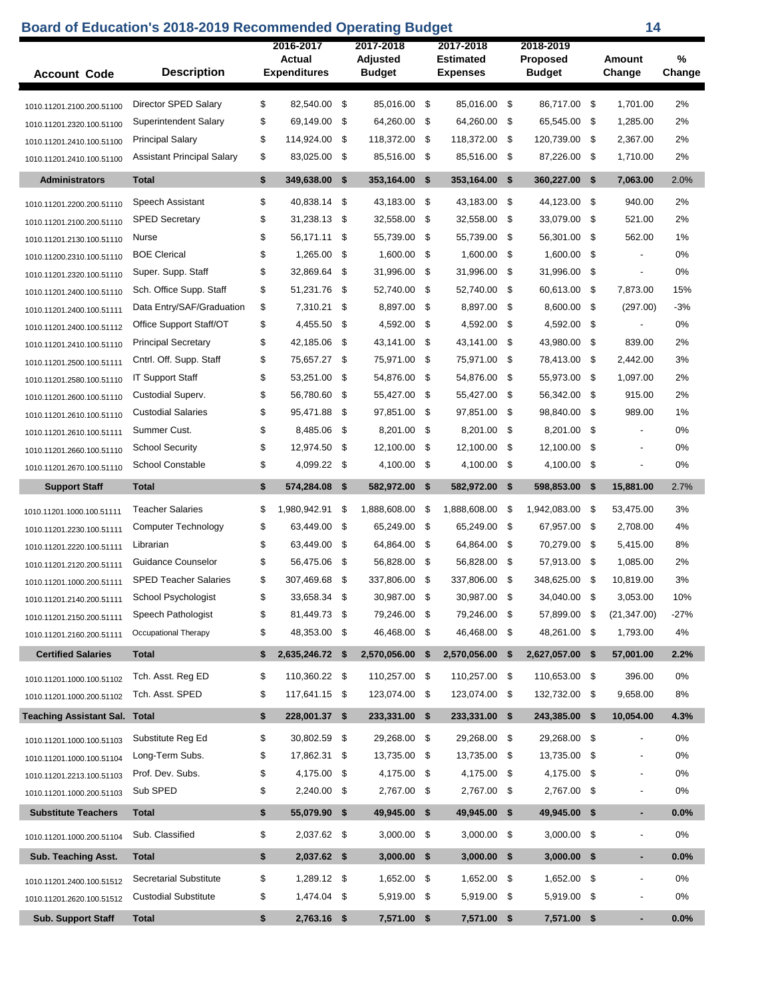## **Board of Education's 2018-2019 Recommended Operating Budget 14**

| <b>Account Code</b>                  | <b>Description</b>                | 2016-2017<br>Actual<br><b>Expenditures</b> |     | 2017-2018<br>Adjusted<br><b>Budget</b> |     | 2017-2018<br>Estimated<br><b>Expenses</b> |      | 2018-2019<br><b>Proposed</b><br><b>Budget</b> |      | Amount<br>Change         | %<br>Change |
|--------------------------------------|-----------------------------------|--------------------------------------------|-----|----------------------------------------|-----|-------------------------------------------|------|-----------------------------------------------|------|--------------------------|-------------|
| 1010.11201.2100.200.51100            | Director SPED Salary              | \$<br>82,540.00                            | \$  | 85.016.00 \$                           |     | 85,016.00                                 | -\$  | 86,717.00 \$                                  |      | 1.701.00                 | 2%          |
| 1010.11201.2320.100.51100            | <b>Superintendent Salary</b>      | \$<br>69,149.00                            | \$  | 64,260.00                              | \$  | 64,260.00                                 | \$   | 65,545.00                                     | \$   | 1,285.00                 | 2%          |
| 1010.11201.2410.100.51100            | <b>Principal Salary</b>           | \$<br>114,924.00                           | \$  | 118,372.00                             | \$  | 118,372.00                                | -\$  | 120,739.00 \$                                 |      | 2,367.00                 | 2%          |
| 1010.11201.2410.100.51100            | <b>Assistant Principal Salary</b> | \$<br>83,025.00                            | \$  | 85,516.00 \$                           |     | 85,516.00                                 | - \$ | 87,226.00 \$                                  |      | 1,710.00                 | 2%          |
| <b>Administrators</b>                | <b>Total</b>                      | \$<br>349,638.00                           | \$  | 353,164.00                             | \$  | 353,164.00                                | \$   | 360,227.00                                    | -\$  | 7,063.00                 | 2.0%        |
| 1010.11201.2200.200.51110            | Speech Assistant                  | \$<br>40,838.14                            | \$  | 43,183.00                              | \$  | 43.183.00                                 | - \$ | 44.123.00 \$                                  |      | 940.00                   | 2%          |
| 1010.11201.2100.200.51110            | <b>SPED Secretary</b>             | \$<br>31.238.13                            | \$  | 32,558.00                              | \$  | 32,558.00                                 | \$   | 33,079.00                                     | \$   | 521.00                   | 2%          |
| 1010.11201.2130.100.51110            | Nurse                             | \$<br>56,171.11                            | \$  | 55,739.00                              | \$  | 55,739.00                                 | -\$  | 56,301.00                                     | \$   | 562.00                   | 1%          |
| 1010.11200.2310.100.51110            | <b>BOE Clerical</b>               | \$<br>1,265.00                             | \$  | 1,600.00                               | \$  | 1,600.00                                  | \$   | 1,600.00                                      | \$   | $\overline{\phantom{a}}$ | 0%          |
| 1010.11201.2320.100.51110            | Super. Supp. Staff                | \$<br>32,869.64                            | \$  | 31,996.00                              | \$  | 31,996.00                                 | \$   | 31,996.00                                     | \$   | $\overline{a}$           | 0%          |
| 1010.11201.2400.100.51110            | Sch. Office Supp. Staff           | \$<br>51,231.76                            | \$  | 52.740.00                              | \$  | 52,740.00                                 | \$   | 60,613.00                                     | \$   | 7.873.00                 | 15%         |
| 1010.11201.2400.100.51111            | Data Entry/SAF/Graduation         | \$<br>7,310.21                             | \$  | 8,897.00                               | \$  | 8,897.00                                  | \$   | 8,600.00                                      | \$   | (297.00)                 | $-3%$       |
| 1010.11201.2400.100.51112            | Office Support Staff/OT           | \$<br>4,455.50                             | \$  | 4,592.00                               | \$  | 4,592.00                                  | \$   | 4,592.00                                      | \$   | $\overline{\phantom{a}}$ | 0%          |
| 1010.11201.2410.100.51110            | <b>Principal Secretary</b>        | \$<br>42,185.06                            | \$  | 43,141.00                              | \$  | 43,141.00                                 | -\$  | 43,980.00 \$                                  |      | 839.00                   | 2%          |
| 1010.11201.2500.100.51111            | Cntrl. Off. Supp. Staff           | \$<br>75,657.27                            | \$  | 75,971.00                              | \$  | 75,971.00                                 | \$   | 78,413.00                                     | \$   | 2.442.00                 | 3%          |
| 1010.11201.2580.100.51110            | <b>IT Support Staff</b>           | \$<br>53,251.00                            | \$  | 54,876.00                              | \$  | 54,876.00                                 | \$   | 55,973.00                                     | -\$  | 1,097.00                 | 2%          |
| 1010.11201.2600.100.51110            | Custodial Superv.                 | \$<br>56,780.60                            | \$  | 55,427.00 \$                           |     | 55.427.00                                 | -\$  | 56,342.00 \$                                  |      | 915.00                   | 2%          |
| 1010.11201.2610.100.51110            | <b>Custodial Salaries</b>         | \$<br>95,471.88                            | \$  | 97,851.00                              | \$  | 97,851.00                                 | \$   | 98,840.00                                     | \$   | 989.00                   | 1%          |
| 1010.11201.2610.100.51111            | Summer Cust.                      | \$<br>8,485.06                             | \$  | 8,201.00                               | \$  | 8,201.00                                  | -\$  | 8,201.00                                      | \$   | $\blacksquare$           | 0%          |
| 1010.11201.2660.100.51110            | <b>School Security</b>            | \$<br>12,974.50                            | \$  | 12,100.00 \$                           |     | 12,100.00                                 | -\$  | 12,100.00                                     | \$   | $\overline{a}$           | 0%          |
| 1010.11201.2670.100.51110            | <b>School Constable</b>           | \$<br>4,099.22                             | -\$ | 4,100.00 \$                            |     | 4,100.00                                  | \$   | 4,100.00 \$                                   |      |                          | 0%          |
|                                      |                                   |                                            |     |                                        |     |                                           |      |                                               |      |                          |             |
| <b>Support Staff</b>                 | <b>Total</b>                      | \$<br>574,284.08                           | -\$ | 582,972.00                             | \$  | 582,972.00                                | \$   | 598,853.00 \$                                 |      | 15,881.00                | 2.7%        |
| 1010.11201.1000.100.51111            | <b>Teacher Salaries</b>           | \$<br>1,980,942.91                         | \$  | 1,888,608.00                           | \$  | 1,888,608.00                              | -\$  | 1,942,083.00                                  | \$   | 53,475.00                | 3%          |
| 1010.11201.2230.100.51111            | Computer Technology               | \$<br>63,449.00                            | \$  | 65,249.00                              | -\$ | 65,249.00                                 | \$   | 67,957.00 \$                                  |      | 2,708.00                 | 4%          |
| 1010.11201.2220.100.51111            | Librarian                         | \$<br>63,449.00                            | \$  | 64,864.00                              | \$  | 64,864.00                                 | \$   | 70,279.00                                     | - \$ | 5,415.00                 | 8%          |
| 1010.11201.2120.200.51111            | Guidance Counselor                | \$<br>56,475.06                            | \$  | 56,828.00                              | \$  | 56,828.00                                 | \$   | 57,913.00 \$                                  |      | 1,085.00                 | 2%          |
| 1010.11201.1000.200.51111            | <b>SPED Teacher Salaries</b>      | \$<br>307,469.68                           | \$  | 337,806.00                             | \$  | 337,806.00                                | \$   | 348,625.00                                    | \$   | 10,819.00                | 3%          |
| 1010.11201.2140.200.51111            | School Psychologist               | \$<br>33,658.34                            | \$  | 30,987.00                              | \$  | 30.987.00                                 | \$   | 34.040.00                                     | \$   | 3,053.00                 | 10%         |
| 1010.11201.2150.200.51111            | Speech Pathologist                | \$<br>81,449.73 \$                         |     | 79,246.00 \$                           |     | 79,246.00 \$                              |      | 57,899.00 \$                                  |      | (21, 347.00)             | $-27%$      |
| 1010.11201.2160.200.51111            | Occupational Therapy              | \$<br>48,353.00                            | -\$ | 46,468.00 \$                           |     | 46,468.00 \$                              |      | 48,261.00 \$                                  |      | 1,793.00                 | 4%          |
| <b>Certified Salaries</b>            | <b>Total</b>                      | \$<br>2,635,246.72 \$                      |     | 2,570,056.00                           | \$  | 2,570,056.00                              | \$   | 2,627,057.00 \$                               |      | 57,001.00                | 2.2%        |
| 1010.11201.1000.100.51102            | Tch. Asst. Reg ED                 | \$<br>110,360.22 \$                        |     | 110,257.00 \$                          |     | 110.257.00 \$                             |      | 110,653.00 \$                                 |      | 396.00                   | 0%          |
| 1010.11201.1000.200.51102            | Tch. Asst. SPED                   | \$<br>117,641.15 \$                        |     | 123,074.00 \$                          |     | 123,074.00 \$                             |      | 132,732.00 \$                                 |      | 9,658.00                 | 8%          |
| <b>Teaching Assistant Sal. Total</b> |                                   | \$<br>228,001.37 \$                        |     | 233,331.00 \$                          |     | 233,331.00                                | - \$ | 243,385.00 \$                                 |      | 10,054.00                | 4.3%        |
| 1010.11201.1000.100.51103            | Substitute Reg Ed                 | \$<br>30,802.59                            | \$  | 29,268.00 \$                           |     | 29,268.00                                 | -\$  | 29,268.00 \$                                  |      |                          | 0%          |
| 1010.11201.1000.100.51104            | Long-Term Subs.                   | \$<br>17,862.31                            | \$  | 13,735.00                              | \$  | 13,735.00                                 | \$   | 13,735.00 \$                                  |      | $\blacksquare$           | 0%          |
| 1010.11201.2213.100.51103            | Prof. Dev. Subs.                  | \$<br>4,175.00                             | \$  | 4,175.00 \$                            |     | 4,175.00 \$                               |      | 4,175.00 \$                                   |      |                          | 0%          |
| 1010.11201.1000.200.51103            | Sub SPED                          | \$<br>2,240.00                             | \$  | 2,767.00 \$                            |     | 2,767.00                                  | - \$ | 2,767.00 \$                                   |      | $\overline{\phantom{a}}$ | 0%          |
| <b>Substitute Teachers</b>           | <b>Total</b>                      | \$<br>55,079.90 \$                         |     | 49,945.00 \$                           |     | 49,945.00 \$                              |      | 49,945.00 \$                                  |      | ٠                        | 0.0%        |
| 1010.11201.1000.200.51104            | Sub. Classified                   | \$<br>2,037.62 \$                          |     | $3,000.00$ \$                          |     | $3,000.00$ \$                             |      | $3,000.00$ \$                                 |      | $\overline{\phantom{a}}$ | 0%          |
| Sub. Teaching Asst.                  | Total                             | \$<br>2,037.62 \$                          |     | 3,000.00                               | \$  | $3,000.00$ \$                             |      | $3,000.00$ \$                                 |      | ٠                        | 0.0%        |
| 1010.11201.2400.100.51512            | <b>Secretarial Substitute</b>     | \$<br>1,289.12 \$                          |     | 1,652.00 \$                            |     | 1,652.00 \$                               |      | 1,652.00 \$                                   |      |                          | 0%          |
| 1010.11201.2620.100.51512            | <b>Custodial Substitute</b>       | \$<br>1,474.04                             | \$  | 5,919.00                               | \$  | 5,919.00 \$                               |      | 5,919.00 \$                                   |      | $\overline{\phantom{a}}$ | 0%          |
| <b>Sub. Support Staff</b>            | Total                             | \$<br>2,763.16 \$                          |     | 7,571.00                               | \$  | 7,571.00                                  | \$   | 7,571.00 \$                                   |      | ٠                        | 0.0%        |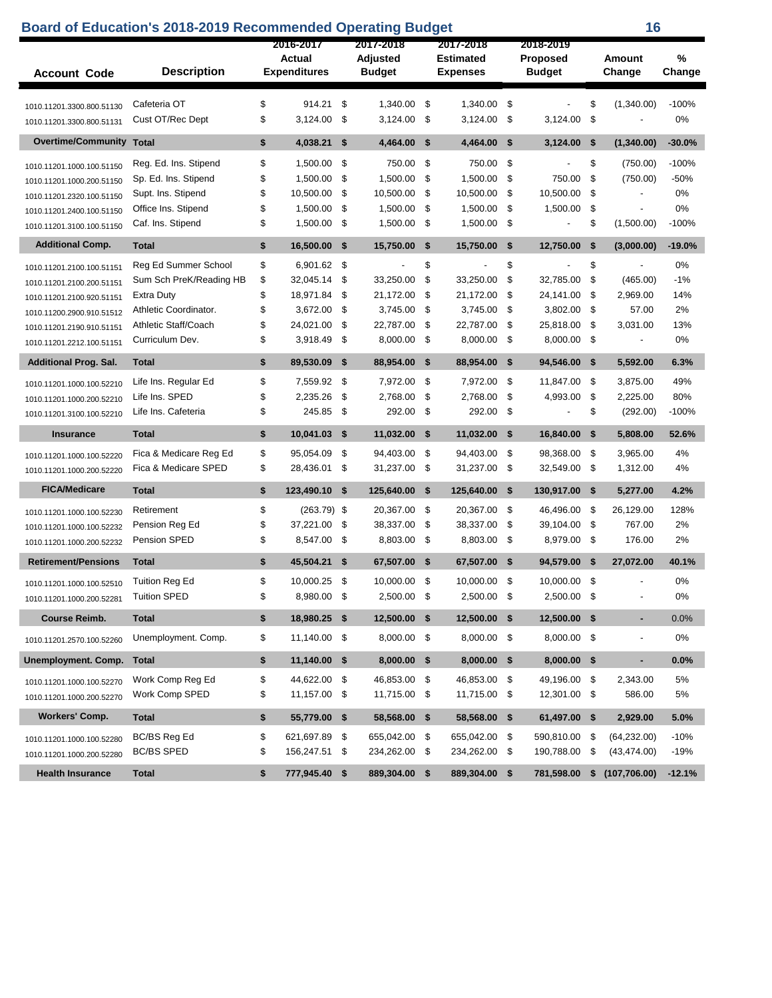|                                                        | <b>Board of Education's 2018-2019 Recommended Operating Budget</b> |    |                               |           |                           |      |                  | 16                        |                          |      |                          |             |
|--------------------------------------------------------|--------------------------------------------------------------------|----|-------------------------------|-----------|---------------------------|------|------------------|---------------------------|--------------------------|------|--------------------------|-------------|
|                                                        |                                                                    |    | 2016-2017                     | 2017-2018 |                           |      | 2017-2018        | 2018-2019                 |                          |      |                          |             |
| <b>Description</b>                                     |                                                                    |    | Actual<br><b>Expenditures</b> |           | Adjusted<br><b>Budget</b> |      | <b>Estimated</b> | Proposed<br><b>Budget</b> |                          |      | Amount                   | %<br>Change |
| <b>Account Code</b>                                    |                                                                    |    |                               |           |                           |      | <b>Expenses</b>  |                           |                          |      | Change                   |             |
| 1010.11201.3300.800.51130                              | Cafeteria OT                                                       | \$ | 914.21                        | \$        | 1,340.00                  | \$   | 1,340.00         | \$                        |                          | \$   | (1,340.00)               | $-100%$     |
| 1010.11201.3300.800.51131                              | Cust OT/Rec Dept                                                   | \$ | 3,124.00                      | \$        | 3,124.00                  | -\$  | 3,124.00         | \$                        | 3,124.00                 | \$   |                          | 0%          |
| <b>Overtime/Community</b>                              | <b>Total</b>                                                       | \$ | 4,038.21                      | \$        | 4,464.00                  | - \$ | 4,464.00         | \$                        | 3,124.00                 | - \$ | (1,340.00)               | $-30.0%$    |
|                                                        | Reg. Ed. Ins. Stipend                                              | \$ | 1,500.00                      | \$        | 750.00                    | -\$  | 750.00           | \$                        |                          | \$   | (750.00)                 | $-100%$     |
| 1010.11201.1000.100.51150<br>1010.11201.1000.200.51150 | Sp. Ed. Ins. Stipend                                               | \$ | 1,500.00                      | \$        | 1,500.00                  | -\$  | 1,500.00         | \$                        | 750.00                   | \$   | (750.00)                 | $-50%$      |
| 1010.11201.2320.100.51150                              | Supt. Ins. Stipend                                                 | \$ | 10,500.00                     | \$        | 10,500.00                 | -\$  | 10,500.00        | \$                        | 10,500.00                | \$   |                          | 0%          |
| 1010.11201.2400.100.51150                              | Office Ins. Stipend                                                | \$ | 1,500.00                      | \$        | 1,500.00                  | \$   | 1,500.00         | \$                        | 1,500.00                 | \$   | $\overline{\phantom{a}}$ | 0%          |
| 1010.11201.3100.100.51150                              | Caf. Ins. Stipend                                                  | \$ | 1,500.00                      | \$        | 1,500.00                  | - \$ | 1,500.00         | \$                        | $\overline{\phantom{a}}$ | \$   | (1,500.00)               | $-100%$     |
| <b>Additional Comp.</b>                                | <b>Total</b>                                                       | \$ | 16,500.00                     | \$        | 15,750.00                 | \$   | 15,750.00        | \$                        | 12,750.00                | \$   | (3,000.00)               | $-19.0%$    |
| 1010.11201.2100.100.51151                              | Reg Ed Summer School                                               | \$ | 6,901.62                      | \$        |                           | \$   |                  | \$                        |                          | \$   |                          | 0%          |
| 1010.11201.2100.200.51151                              | Sum Sch PreK/Reading HB                                            | \$ | 32,045.14                     | \$        | 33,250.00                 | \$   | 33,250.00        | \$                        | 32,785.00                | \$   | (465.00)                 | $-1%$       |
| 1010.11201.2100.920.51151                              | Extra Duty                                                         | \$ | 18,971.84                     | \$        | 21,172.00                 | \$   | 21,172.00        | \$                        | 24,141.00                | \$   | 2,969.00                 | 14%         |
| 1010.11200.2900.910.51512                              | Athletic Coordinator.                                              | \$ | 3,672.00                      | \$        | 3,745.00                  | \$   | 3,745.00         | \$                        | 3,802.00                 | \$   | 57.00                    | 2%          |
| 1010.11201.2190.910.51151                              | Athletic Staff/Coach                                               | \$ | 24,021.00                     | \$        | 22,787.00                 | \$   | 22,787.00        | \$                        | 25,818.00                | \$   | 3,031.00                 | 13%         |
| 1010.11201.2212.100.51151                              | Curriculum Dev.                                                    | \$ | 3,918.49                      | \$        | 8,000.00                  | \$   | 8,000.00         | \$                        | 8,000.00 \$              |      | $\overline{\phantom{a}}$ | 0%          |
| <b>Additional Prog. Sal.</b>                           | <b>Total</b>                                                       | \$ | 89,530.09                     | \$        | 88,954.00                 | - \$ | 88,954.00        | \$                        | 94,546.00 \$             |      | 5,592.00                 | 6.3%        |
| 1010.11201.1000.100.52210                              | Life Ins. Regular Ed                                               | \$ | 7,559.92                      | \$        | 7,972.00                  | -\$  | 7,972.00         | \$                        | 11,847.00                | \$   | 3,875.00                 | 49%         |
| 1010.11201.1000.200.52210                              | Life Ins. SPED                                                     | \$ | 2,235.26                      | \$        | 2,768.00                  | \$   | 2,768.00         | \$                        | 4,993.00                 | \$   | 2,225.00                 | 80%         |
| 1010.11201.3100.100.52210                              | Life Ins. Cafeteria                                                | \$ | 245.85                        | \$        | 292.00                    | \$   | 292.00           | \$                        |                          | \$   | (292.00)                 | $-100%$     |
| <b>Insurance</b>                                       | <b>Total</b>                                                       | \$ | 10,041.03                     | \$        | 11,032.00                 | \$   | 11,032.00        | \$                        | 16,840.00                | \$   | 5,808.00                 | 52.6%       |
| 1010.11201.1000.100.52220                              | Fica & Medicare Reg Ed                                             | \$ | 95,054.09                     | \$        | 94,403.00                 | -\$  | 94,403.00        | \$                        | 98,368.00                | -\$  | 3,965.00                 | 4%          |
| 1010.11201.1000.200.52220                              | Fica & Medicare SPED                                               | \$ | 28,436.01                     | \$        | 31,237.00 \$              |      | 31,237.00        | \$                        | 32,549.00 \$             |      | 1,312.00                 | 4%          |
| <b>FICA/Medicare</b>                                   | <b>Total</b>                                                       | \$ | 123,490.10                    | \$        | 125,640.00                | -\$  | 125,640.00       | \$                        | 130,917.00 \$            |      | 5,277.00                 | 4.2%        |
| 1010.11201.1000.100.52230                              | Retirement                                                         | \$ | $(263.79)$ \$                 |           | 20,367.00                 | - \$ | 20,367.00        | \$                        | 46,496.00 \$             |      | 26,129.00                | 128%        |
| 1010.11201.1000.100.52232                              | Pension Reg Ed                                                     | \$ | 37,221.00                     | \$        | 38,337.00                 | -\$  | 38,337.00        | \$                        | 39,104.00 \$             |      | 767.00                   | 2%          |
| 1010.11201.1000.200.52232                              | Pension SPED                                                       | \$ | 8,547.00                      | \$        | 8,803.00 \$               |      | 8,803.00         | \$                        | 8,979.00 \$              |      | 176.00                   | 2%          |
| <b>Retirement/Pensions</b>                             | <b>Total</b>                                                       | \$ | 45,504.21                     | \$        | 67,507.00                 | \$   | 67,507.00        | \$                        | 94,579.00                | \$   | 27,072.00                | 40.1%       |
| 1010.11201.1000.100.52510                              | <b>Tuition Reg Ed</b>                                              | \$ | 10,000.25                     | \$        | 10,000.00                 | -\$  | 10,000.00        | \$                        | 10.000.00                | \$   |                          | 0%          |
| 1010.11201.1000.200.52281                              | <b>Tuition SPED</b>                                                | \$ | 8,980.00 \$                   |           | 2,500.00 \$               |      | 2,500.00         | \$                        | 2,500.00 \$              |      |                          | 0%          |
| <b>Course Reimb.</b>                                   | Total                                                              | \$ | 18,980.25 \$                  |           | 12,500.00 \$              |      | 12,500.00 \$     |                           | 12,500.00 \$             |      | ä,                       | 0.0%        |
| 1010.11201.2570.100.52260                              | Unemployment. Comp.                                                | \$ | 11,140.00 \$                  |           | 8,000.00 \$               |      | 8,000.00 \$      |                           | 8,000.00 \$              |      | $\overline{\phantom{a}}$ | 0%          |
| Unemployment. Comp.                                    | <b>Total</b>                                                       | \$ | 11,140.00 \$                  |           | 8,000.00 \$               |      | 8,000.00 \$      |                           | 8,000.00 \$              |      | ٠                        | 0.0%        |
| 1010.11201.1000.100.52270                              | Work Comp Reg Ed                                                   | \$ | 44,622.00                     | \$        | 46,853.00 \$              |      | 46,853.00        | \$                        | 49,196.00 \$             |      | 2,343.00                 | 5%          |
| 1010.11201.1000.200.52270                              | Work Comp SPED                                                     | \$ | 11,157.00 \$                  |           | 11,715.00 \$              |      | 11,715.00 \$     |                           | 12,301.00 \$             |      | 586.00                   | 5%          |
| <b>Workers' Comp.</b>                                  | <b>Total</b>                                                       | \$ | 55,779.00                     | - \$      | 58,568.00 \$              |      | 58,568.00 \$     |                           | 61,497.00 \$             |      | 2,929.00                 | 5.0%        |
| 1010.11201.1000.100.52280                              | <b>BC/BS Reg Ed</b>                                                | \$ | 621,697.89                    | \$        | 655,042.00 \$             |      | 655,042.00       | \$                        | 590,810.00 \$            |      | (64, 232.00)             | $-10%$      |
| 1010.11201.1000.200.52280                              | <b>BC/BS SPED</b>                                                  | \$ | 156,247.51                    | \$        | 234,262.00 \$             |      | 234,262.00 \$    |                           | 190,788.00               | \$   | (43, 474.00)             | $-19%$      |
| <b>Health Insurance</b>                                | <b>Total</b>                                                       | \$ | 777,945.40 \$                 |           | 889,304.00 \$             |      | 889,304.00 \$    |                           | 781,598.00               | \$   | (107, 706.00)            | $-12.1%$    |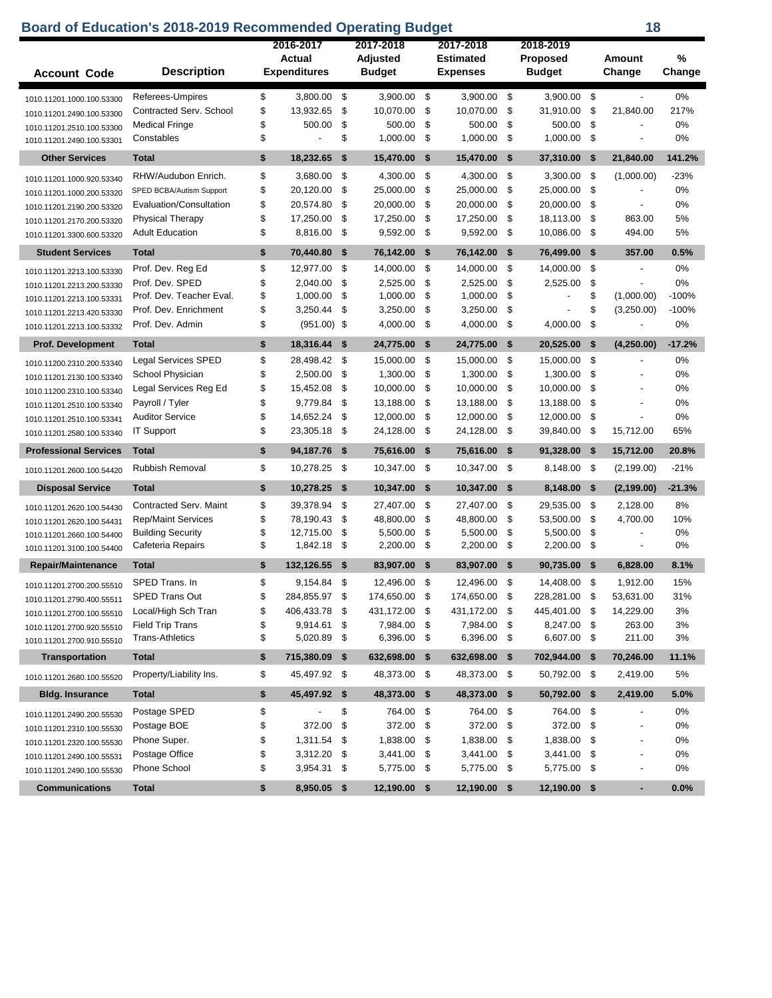## **Board of Education's 2018-2019 Recommended Operating Budget 18 18**

| \$<br>-\$<br>3,900.00 \$<br>0%<br>Referees-Umpires<br>3,800.00<br>3,900.00 \$<br>$3.900.00$ \$<br>$\blacksquare$<br>1010.11201.1000.100.53300<br>\$<br>\$<br>Contracted Serv. School<br>13,932.65<br>10,070.00<br>\$<br>10,070.00<br>-\$<br>31,910.00<br>- \$<br>217%<br>21.840.00<br>1010.11201.2490.100.53300<br>\$<br>\$<br>\$<br>-\$<br>0%<br><b>Medical Fringe</b><br>500.00<br>500.00<br>500.00<br>500.00<br>-\$<br>1010.11201.2510.100.53300<br>\$<br>\$<br>1,000.00<br>\$<br>1,000.00<br>-\$<br>1,000.00 \$<br>0%<br>Constables<br>$\overline{\phantom{a}}$<br>1010.11201.2490.100.53301<br><b>Other Services</b><br><b>Total</b><br>\$<br>18,232.65<br>\$<br>15,470.00 \$<br>15,470.00<br>$\mathbf{s}$<br>37,310.00<br>141.2%<br>-\$<br>21,840.00<br>\$<br>3,680.00<br>\$<br>$-23%$<br>RHW/Audubon Enrich.<br>4,300.00<br>\$<br>4,300.00<br>- \$<br>$3,300.00$ \$<br>(1,000.00)<br>1010.11201.1000.920.53340<br>\$<br>\$<br>\$<br>\$<br>20,120.00<br>25,000.00<br>25,000.00<br>25,000.00<br>\$<br>0%<br>SPED BCBA/Autism Support<br>1010.11201.1000.200.53320<br>\$<br>\$<br>\$<br>\$<br>20,574.80<br>20,000.00<br>-\$<br>0%<br>Evaluation/Consultation<br>20,000.00<br>20,000.00<br>$\overline{a}$<br>1010.11201.2190.200.53320<br>\$<br>17,250.00<br>\$<br>17,250.00<br>\$<br>17,250.00<br>\$<br>18,113.00 \$<br>863.00<br>5%<br><b>Physical Therapy</b><br>1010.11201.2170.200.53320<br>\$<br>8,816.00<br>\$<br>9,592.00<br>\$<br>9,592.00 \$<br>10,086.00 \$<br><b>Adult Education</b><br>494.00<br>5%<br>1010.11201.3300.600.53320<br><b>Student Services</b><br><b>Total</b><br>\$<br>70,440.80<br>- \$<br>76,142.00 \$<br>76,142.00<br>$\mathbf{s}$<br>76,499.00 \$<br>357.00<br>0.5%<br>Prof. Dev. Reg Ed<br>\$<br>12,977.00<br>- \$<br>14,000.00<br>14,000.00<br>-\$<br>14,000.00<br>0%<br>-\$<br>-\$<br>1010.11201.2213.100.53330<br>\$<br>2,040.00<br>\$<br>2,525.00<br>\$<br>2,525.00<br>\$<br>2,525.00<br>\$<br>0%<br>Prof. Dev. SPED<br>1010.11201.2213.200.53330<br>\$<br>\$<br>1,000.00<br>\$<br>1,000.00<br>\$<br>1,000.00<br>\$<br>(1,000.00)<br>$-100%$<br>Prof. Dev. Teacher Eval.<br>1010.11201.2213.100.53331<br>\$<br>\$<br>\$<br>\$<br>3,250.44<br>\$<br>Prof. Dev. Enrichment<br>3,250.00<br>3,250.00<br>(3,250.00)<br>$-100%$<br>$\overline{a}$<br>1010.11201.2213.420.53330<br>\$<br>$(951.00)$ \$<br>4,000.00<br>\$<br>4,000.00<br>\$<br>4,000.00<br>\$<br>0%<br>Prof. Dev. Admin<br>$\overline{a}$<br>1010.11201.2213.100.53332<br>$-17.2%$<br><b>Total</b><br>\$<br>18,316.44<br>\$<br>24,775.00<br>\$<br>24,775.00<br>\$<br>20,525.00<br>-\$<br>(4,250.00)<br><b>Prof. Development</b><br>\$<br>28,498.42 \$<br>15,000.00 \$<br>15,000.00<br>- \$<br>15,000.00<br>0%<br><b>Legal Services SPED</b><br>- \$<br>1010.11200.2310.200.53340<br>\$<br>\$<br>2,500.00<br>\$<br>1,300.00<br>- \$<br>-\$<br>0%<br>School Physician<br>1,300.00<br>1,300.00<br>1010.11201.2130.100.53340<br>\$<br>15,452.08<br>\$<br>10,000.00<br>\$<br>10,000.00<br>-\$<br>10,000.00<br>\$<br>0%<br>Legal Services Reg Ed<br>1010.11200.2310.100.53340<br>\$<br>\$<br>\$<br>13,188.00<br>- \$<br>0%<br>Payroll / Tyler<br>9,779.84<br>13,188.00<br>13,188.00<br>-\$<br>1010.11201.2510.100.53340<br>\$<br>\$<br>\$<br><b>Auditor Service</b><br>14,652.24<br>12,000.00<br>\$<br>12,000.00<br>12,000.00<br>\$<br>0%<br>1010.11201.2510.100.53341<br>\$<br>\$<br>23,305.18<br>\$<br>-\$<br>65%<br><b>IT Support</b><br>24,128.00<br>24,128.00<br>39,840.00<br>- \$<br>15,712.00<br>1010.11201.2580.100.53340<br><b>Professional Services</b><br><b>Total</b><br>\$<br>94,187.76<br>- \$<br>75,616.00<br>- \$<br>91,328.00<br>20.8%<br>75,616.00<br>-\$<br>- \$<br>15,712.00<br>Rubbish Removal<br>\$<br>10,278.25<br>- \$<br>\$<br>10,347.00<br>-\$<br>8,148.00 \$<br>(2, 199.00)<br>$-21%$<br>10,347.00<br>1010.11201.2600.100.54420<br><b>Disposal Service</b><br><b>Total</b><br>\$<br>10,278.25<br>- \$<br>10,347.00<br>\$<br>10,347.00<br>-\$<br>8,148.00<br>$-21.3%$<br>- \$<br>(2, 199.00)<br>\$<br>Contracted Serv. Maint<br>39,378.94<br>\$<br>27,407.00<br>\$<br>27,407.00<br>- \$<br>29,535.00 \$<br>2,128.00<br>8%<br>1010.11201.2620.100.54430<br>\$<br>\$<br><b>Rep/Maint Services</b><br>78,190.43<br>48,800.00<br>\$<br>48,800.00<br>- \$<br>53,500.00 \$<br>4,700.00<br>10%<br>1010.11201.2620.100.54431<br>\$<br>\$<br>5,500.00<br>\$<br>5,500.00<br>\$<br>5,500.00<br>\$<br>0%<br><b>Building Security</b><br>12,715.00<br>1010.11201.2660.100.54400<br>\$<br>1,842.18<br>\$<br>\$<br>2,200.00<br>-\$<br>2,200.00<br>0%<br>2,200.00<br>\$<br>Cafeteria Repairs<br>$\overline{a}$<br>1010.11201.3100.100.54400<br><b>Repair/Maintenance</b><br><b>Total</b><br>\$<br>132,126.55 \$<br>83,907.00 \$<br>83,907.00 \$<br>8.1%<br>$90,735.00$ \$<br>6,828.00<br>\$<br>SPED Trans. In<br>9.154.84<br>- \$<br>12,496.00 \$<br>12,496.00<br>-\$<br>14,408.00<br>1,912.00<br>15%<br>-\$<br>1010.11201.2700.200.55510<br>284,855.97<br>\$<br>31%<br><b>SPED Trans Out</b><br>\$<br>174,650.00<br>\$<br>174,650.00<br>\$<br>228,281.00<br>\$<br>53,631.00<br>1010.11201.2790.400.55511<br>Local/High Sch Tran<br>\$<br>406,433.78 \$<br>431,172.00 \$<br>431,172.00 \$<br>445,401.00 \$<br>14,229.00<br>3%<br>1010.11201.2700.100.55510<br><b>Field Trip Trans</b><br>\$<br>9,914.61 \$<br>7,984.00 \$<br>7,984.00 \$<br>8,247.00 \$<br>263.00<br>3%<br>1010.11201.2700.920.55510<br>\$<br>6,396.00 \$<br>6,396.00 \$<br>6,607.00 \$<br>211.00<br>3%<br><b>Trans-Athletics</b><br>5,020.89 \$<br>1010.11201.2700.910.55510<br><b>Transportation</b><br><b>Total</b><br>715,380.09 \$<br>632,698.00 \$<br>632,698.00 \$<br>702,944.00 \$<br>70,246.00<br>11.1%<br>\$<br>\$<br>48,373.00 \$<br>50,792.00 \$<br>5%<br>Property/Liability Ins.<br>45,497.92 \$<br>48,373.00 \$<br>2,419.00<br>1010.11201.2680.100.55520<br><b>Total</b><br>\$<br>45,497.92 \$<br>48,373.00 \$<br>48,373.00 \$<br>50,792.00 \$<br>2,419.00<br>5.0%<br><b>Bidg. Insurance</b><br>\$<br>\$<br>764.00 \$<br>764.00 \$<br>0%<br>Postage SPED<br>764.00 \$<br>1010.11201.2490.200.55530<br>\$<br>\$<br>372.00<br>372.00 \$<br>372.00 \$<br>372.00 \$<br>0%<br>Postage BOE<br>1010.11201.2310.100.55530<br>Phone Super.<br>\$<br>1,311.54<br>\$<br>1,838.00 \$<br>1,838.00 \$<br>1,838.00 \$<br>0%<br>1010.11201.2320.100.55530<br>Postage Office<br>\$<br>3,312.20 \$<br>3,441.00 \$<br>3,441.00 \$<br>3,441.00 \$<br>0%<br>1010.11201.2490.100.55531<br>Phone School<br>3,954.31 \$<br>5,775.00 \$<br>5,775.00 \$<br>5,775.00 \$<br>0%<br>\$<br>1010.11201.2490.100.55530<br>\$<br>8,950.05 \$<br>0.0%<br><b>Communications</b><br><b>Total</b><br>$12,190.00$ \$<br>$12,190.00$ \$<br>$12,190.00$ \$<br>٠ | <b>Account Code</b> | <b>Description</b> | 2016-2017<br>Actual<br><b>Expenditures</b> | 2017-2018<br><b>Adjusted</b><br><b>Budget</b> | 2017-2018<br><b>Estimated</b><br><b>Expenses</b> | 2018-2019<br>Proposed<br><b>Budget</b> | <b>Amount</b><br>Change | %<br>Change |
|---------------------------------------------------------------------------------------------------------------------------------------------------------------------------------------------------------------------------------------------------------------------------------------------------------------------------------------------------------------------------------------------------------------------------------------------------------------------------------------------------------------------------------------------------------------------------------------------------------------------------------------------------------------------------------------------------------------------------------------------------------------------------------------------------------------------------------------------------------------------------------------------------------------------------------------------------------------------------------------------------------------------------------------------------------------------------------------------------------------------------------------------------------------------------------------------------------------------------------------------------------------------------------------------------------------------------------------------------------------------------------------------------------------------------------------------------------------------------------------------------------------------------------------------------------------------------------------------------------------------------------------------------------------------------------------------------------------------------------------------------------------------------------------------------------------------------------------------------------------------------------------------------------------------------------------------------------------------------------------------------------------------------------------------------------------------------------------------------------------------------------------------------------------------------------------------------------------------------------------------------------------------------------------------------------------------------------------------------------------------------------------------------------------------------------------------------------------------------------------------------------------------------------------------------------------------------------------------------------------------------------------------------------------------------------------------------------------------------------------------------------------------------------------------------------------------------------------------------------------------------------------------------------------------------------------------------------------------------------------------------------------------------------------------------------------------------------------------------------------------------------------------------------------------------------------------------------------------------------------------------------------------------------------------------------------------------------------------------------------------------------------------------------------------------------------------------------------------------------------------------------------------------------------------------------------------------------------------------------------------------------------------------------------------------------------------------------------------------------------------------------------------------------------------------------------------------------------------------------------------------------------------------------------------------------------------------------------------------------------------------------------------------------------------------------------------------------------------------------------------------------------------------------------------------------------------------------------------------------------------------------------------------------------------------------------------------------------------------------------------------------------------------------------------------------------------------------------------------------------------------------------------------------------------------------------------------------------------------------------------------------------------------------------------------------------------------------------------------------------------------------------------------------------------------------------------------------------------------------------------------------------------------------------------------------------------------------------------------------------------------------------------------------------------------------------------------------------------------------------------------------------------------------------------------------------------------------------------------------------------------------------------------------------------------------------------------------------------------------------------------------------------------------------------------------------------------------------------------------------------------------------------------------------------------------------------------------------------------------------------------------------------------------------------------------------------------------------------------------------------------------------------------------------------------------------------------------------------------------------------------------------------------------------------------------------------------------------------------------------------------------------------------------------------------------------------------------------------------------------------------------------------------------------------------------------------------------------------------------------------------------------------------------------------------------------------------------------------------------------------------------------------------------------------------------------------------------------------------------------------------------------------------------------------------------------------------------------------------------------------------------------------------------------------------------------------------------|---------------------|--------------------|--------------------------------------------|-----------------------------------------------|--------------------------------------------------|----------------------------------------|-------------------------|-------------|
|                                                                                                                                                                                                                                                                                                                                                                                                                                                                                                                                                                                                                                                                                                                                                                                                                                                                                                                                                                                                                                                                                                                                                                                                                                                                                                                                                                                                                                                                                                                                                                                                                                                                                                                                                                                                                                                                                                                                                                                                                                                                                                                                                                                                                                                                                                                                                                                                                                                                                                                                                                                                                                                                                                                                                                                                                                                                                                                                                                                                                                                                                                                                                                                                                                                                                                                                                                                                                                                                                                                                                                                                                                                                                                                                                                                                                                                                                                                                                                                                                                                                                                                                                                                                                                                                                                                                                                                                                                                                                                                                                                                                                                                                                                                                                                                                                                                                                                                                                                                                                                                                                                                                                                                                                                                                                                                                                                                                                                                                                                                                                                                                                                                                                                                                                                                                                                                                                                                                                                                                                                                                                                                                                                                                                                                                                                                                                                                                                                                                                                                                                                                                                                                                                                         |                     |                    |                                            |                                               |                                                  |                                        |                         |             |
|                                                                                                                                                                                                                                                                                                                                                                                                                                                                                                                                                                                                                                                                                                                                                                                                                                                                                                                                                                                                                                                                                                                                                                                                                                                                                                                                                                                                                                                                                                                                                                                                                                                                                                                                                                                                                                                                                                                                                                                                                                                                                                                                                                                                                                                                                                                                                                                                                                                                                                                                                                                                                                                                                                                                                                                                                                                                                                                                                                                                                                                                                                                                                                                                                                                                                                                                                                                                                                                                                                                                                                                                                                                                                                                                                                                                                                                                                                                                                                                                                                                                                                                                                                                                                                                                                                                                                                                                                                                                                                                                                                                                                                                                                                                                                                                                                                                                                                                                                                                                                                                                                                                                                                                                                                                                                                                                                                                                                                                                                                                                                                                                                                                                                                                                                                                                                                                                                                                                                                                                                                                                                                                                                                                                                                                                                                                                                                                                                                                                                                                                                                                                                                                                                                         |                     |                    |                                            |                                               |                                                  |                                        |                         |             |
|                                                                                                                                                                                                                                                                                                                                                                                                                                                                                                                                                                                                                                                                                                                                                                                                                                                                                                                                                                                                                                                                                                                                                                                                                                                                                                                                                                                                                                                                                                                                                                                                                                                                                                                                                                                                                                                                                                                                                                                                                                                                                                                                                                                                                                                                                                                                                                                                                                                                                                                                                                                                                                                                                                                                                                                                                                                                                                                                                                                                                                                                                                                                                                                                                                                                                                                                                                                                                                                                                                                                                                                                                                                                                                                                                                                                                                                                                                                                                                                                                                                                                                                                                                                                                                                                                                                                                                                                                                                                                                                                                                                                                                                                                                                                                                                                                                                                                                                                                                                                                                                                                                                                                                                                                                                                                                                                                                                                                                                                                                                                                                                                                                                                                                                                                                                                                                                                                                                                                                                                                                                                                                                                                                                                                                                                                                                                                                                                                                                                                                                                                                                                                                                                                                         |                     |                    |                                            |                                               |                                                  |                                        |                         |             |
|                                                                                                                                                                                                                                                                                                                                                                                                                                                                                                                                                                                                                                                                                                                                                                                                                                                                                                                                                                                                                                                                                                                                                                                                                                                                                                                                                                                                                                                                                                                                                                                                                                                                                                                                                                                                                                                                                                                                                                                                                                                                                                                                                                                                                                                                                                                                                                                                                                                                                                                                                                                                                                                                                                                                                                                                                                                                                                                                                                                                                                                                                                                                                                                                                                                                                                                                                                                                                                                                                                                                                                                                                                                                                                                                                                                                                                                                                                                                                                                                                                                                                                                                                                                                                                                                                                                                                                                                                                                                                                                                                                                                                                                                                                                                                                                                                                                                                                                                                                                                                                                                                                                                                                                                                                                                                                                                                                                                                                                                                                                                                                                                                                                                                                                                                                                                                                                                                                                                                                                                                                                                                                                                                                                                                                                                                                                                                                                                                                                                                                                                                                                                                                                                                                         |                     |                    |                                            |                                               |                                                  |                                        |                         |             |
|                                                                                                                                                                                                                                                                                                                                                                                                                                                                                                                                                                                                                                                                                                                                                                                                                                                                                                                                                                                                                                                                                                                                                                                                                                                                                                                                                                                                                                                                                                                                                                                                                                                                                                                                                                                                                                                                                                                                                                                                                                                                                                                                                                                                                                                                                                                                                                                                                                                                                                                                                                                                                                                                                                                                                                                                                                                                                                                                                                                                                                                                                                                                                                                                                                                                                                                                                                                                                                                                                                                                                                                                                                                                                                                                                                                                                                                                                                                                                                                                                                                                                                                                                                                                                                                                                                                                                                                                                                                                                                                                                                                                                                                                                                                                                                                                                                                                                                                                                                                                                                                                                                                                                                                                                                                                                                                                                                                                                                                                                                                                                                                                                                                                                                                                                                                                                                                                                                                                                                                                                                                                                                                                                                                                                                                                                                                                                                                                                                                                                                                                                                                                                                                                                                         |                     |                    |                                            |                                               |                                                  |                                        |                         |             |
|                                                                                                                                                                                                                                                                                                                                                                                                                                                                                                                                                                                                                                                                                                                                                                                                                                                                                                                                                                                                                                                                                                                                                                                                                                                                                                                                                                                                                                                                                                                                                                                                                                                                                                                                                                                                                                                                                                                                                                                                                                                                                                                                                                                                                                                                                                                                                                                                                                                                                                                                                                                                                                                                                                                                                                                                                                                                                                                                                                                                                                                                                                                                                                                                                                                                                                                                                                                                                                                                                                                                                                                                                                                                                                                                                                                                                                                                                                                                                                                                                                                                                                                                                                                                                                                                                                                                                                                                                                                                                                                                                                                                                                                                                                                                                                                                                                                                                                                                                                                                                                                                                                                                                                                                                                                                                                                                                                                                                                                                                                                                                                                                                                                                                                                                                                                                                                                                                                                                                                                                                                                                                                                                                                                                                                                                                                                                                                                                                                                                                                                                                                                                                                                                                                         |                     |                    |                                            |                                               |                                                  |                                        |                         |             |
|                                                                                                                                                                                                                                                                                                                                                                                                                                                                                                                                                                                                                                                                                                                                                                                                                                                                                                                                                                                                                                                                                                                                                                                                                                                                                                                                                                                                                                                                                                                                                                                                                                                                                                                                                                                                                                                                                                                                                                                                                                                                                                                                                                                                                                                                                                                                                                                                                                                                                                                                                                                                                                                                                                                                                                                                                                                                                                                                                                                                                                                                                                                                                                                                                                                                                                                                                                                                                                                                                                                                                                                                                                                                                                                                                                                                                                                                                                                                                                                                                                                                                                                                                                                                                                                                                                                                                                                                                                                                                                                                                                                                                                                                                                                                                                                                                                                                                                                                                                                                                                                                                                                                                                                                                                                                                                                                                                                                                                                                                                                                                                                                                                                                                                                                                                                                                                                                                                                                                                                                                                                                                                                                                                                                                                                                                                                                                                                                                                                                                                                                                                                                                                                                                                         |                     |                    |                                            |                                               |                                                  |                                        |                         |             |
|                                                                                                                                                                                                                                                                                                                                                                                                                                                                                                                                                                                                                                                                                                                                                                                                                                                                                                                                                                                                                                                                                                                                                                                                                                                                                                                                                                                                                                                                                                                                                                                                                                                                                                                                                                                                                                                                                                                                                                                                                                                                                                                                                                                                                                                                                                                                                                                                                                                                                                                                                                                                                                                                                                                                                                                                                                                                                                                                                                                                                                                                                                                                                                                                                                                                                                                                                                                                                                                                                                                                                                                                                                                                                                                                                                                                                                                                                                                                                                                                                                                                                                                                                                                                                                                                                                                                                                                                                                                                                                                                                                                                                                                                                                                                                                                                                                                                                                                                                                                                                                                                                                                                                                                                                                                                                                                                                                                                                                                                                                                                                                                                                                                                                                                                                                                                                                                                                                                                                                                                                                                                                                                                                                                                                                                                                                                                                                                                                                                                                                                                                                                                                                                                                                         |                     |                    |                                            |                                               |                                                  |                                        |                         |             |
|                                                                                                                                                                                                                                                                                                                                                                                                                                                                                                                                                                                                                                                                                                                                                                                                                                                                                                                                                                                                                                                                                                                                                                                                                                                                                                                                                                                                                                                                                                                                                                                                                                                                                                                                                                                                                                                                                                                                                                                                                                                                                                                                                                                                                                                                                                                                                                                                                                                                                                                                                                                                                                                                                                                                                                                                                                                                                                                                                                                                                                                                                                                                                                                                                                                                                                                                                                                                                                                                                                                                                                                                                                                                                                                                                                                                                                                                                                                                                                                                                                                                                                                                                                                                                                                                                                                                                                                                                                                                                                                                                                                                                                                                                                                                                                                                                                                                                                                                                                                                                                                                                                                                                                                                                                                                                                                                                                                                                                                                                                                                                                                                                                                                                                                                                                                                                                                                                                                                                                                                                                                                                                                                                                                                                                                                                                                                                                                                                                                                                                                                                                                                                                                                                                         |                     |                    |                                            |                                               |                                                  |                                        |                         |             |
|                                                                                                                                                                                                                                                                                                                                                                                                                                                                                                                                                                                                                                                                                                                                                                                                                                                                                                                                                                                                                                                                                                                                                                                                                                                                                                                                                                                                                                                                                                                                                                                                                                                                                                                                                                                                                                                                                                                                                                                                                                                                                                                                                                                                                                                                                                                                                                                                                                                                                                                                                                                                                                                                                                                                                                                                                                                                                                                                                                                                                                                                                                                                                                                                                                                                                                                                                                                                                                                                                                                                                                                                                                                                                                                                                                                                                                                                                                                                                                                                                                                                                                                                                                                                                                                                                                                                                                                                                                                                                                                                                                                                                                                                                                                                                                                                                                                                                                                                                                                                                                                                                                                                                                                                                                                                                                                                                                                                                                                                                                                                                                                                                                                                                                                                                                                                                                                                                                                                                                                                                                                                                                                                                                                                                                                                                                                                                                                                                                                                                                                                                                                                                                                                                                         |                     |                    |                                            |                                               |                                                  |                                        |                         |             |
|                                                                                                                                                                                                                                                                                                                                                                                                                                                                                                                                                                                                                                                                                                                                                                                                                                                                                                                                                                                                                                                                                                                                                                                                                                                                                                                                                                                                                                                                                                                                                                                                                                                                                                                                                                                                                                                                                                                                                                                                                                                                                                                                                                                                                                                                                                                                                                                                                                                                                                                                                                                                                                                                                                                                                                                                                                                                                                                                                                                                                                                                                                                                                                                                                                                                                                                                                                                                                                                                                                                                                                                                                                                                                                                                                                                                                                                                                                                                                                                                                                                                                                                                                                                                                                                                                                                                                                                                                                                                                                                                                                                                                                                                                                                                                                                                                                                                                                                                                                                                                                                                                                                                                                                                                                                                                                                                                                                                                                                                                                                                                                                                                                                                                                                                                                                                                                                                                                                                                                                                                                                                                                                                                                                                                                                                                                                                                                                                                                                                                                                                                                                                                                                                                                         |                     |                    |                                            |                                               |                                                  |                                        |                         |             |
|                                                                                                                                                                                                                                                                                                                                                                                                                                                                                                                                                                                                                                                                                                                                                                                                                                                                                                                                                                                                                                                                                                                                                                                                                                                                                                                                                                                                                                                                                                                                                                                                                                                                                                                                                                                                                                                                                                                                                                                                                                                                                                                                                                                                                                                                                                                                                                                                                                                                                                                                                                                                                                                                                                                                                                                                                                                                                                                                                                                                                                                                                                                                                                                                                                                                                                                                                                                                                                                                                                                                                                                                                                                                                                                                                                                                                                                                                                                                                                                                                                                                                                                                                                                                                                                                                                                                                                                                                                                                                                                                                                                                                                                                                                                                                                                                                                                                                                                                                                                                                                                                                                                                                                                                                                                                                                                                                                                                                                                                                                                                                                                                                                                                                                                                                                                                                                                                                                                                                                                                                                                                                                                                                                                                                                                                                                                                                                                                                                                                                                                                                                                                                                                                                                         |                     |                    |                                            |                                               |                                                  |                                        |                         |             |
|                                                                                                                                                                                                                                                                                                                                                                                                                                                                                                                                                                                                                                                                                                                                                                                                                                                                                                                                                                                                                                                                                                                                                                                                                                                                                                                                                                                                                                                                                                                                                                                                                                                                                                                                                                                                                                                                                                                                                                                                                                                                                                                                                                                                                                                                                                                                                                                                                                                                                                                                                                                                                                                                                                                                                                                                                                                                                                                                                                                                                                                                                                                                                                                                                                                                                                                                                                                                                                                                                                                                                                                                                                                                                                                                                                                                                                                                                                                                                                                                                                                                                                                                                                                                                                                                                                                                                                                                                                                                                                                                                                                                                                                                                                                                                                                                                                                                                                                                                                                                                                                                                                                                                                                                                                                                                                                                                                                                                                                                                                                                                                                                                                                                                                                                                                                                                                                                                                                                                                                                                                                                                                                                                                                                                                                                                                                                                                                                                                                                                                                                                                                                                                                                                                         |                     |                    |                                            |                                               |                                                  |                                        |                         |             |
|                                                                                                                                                                                                                                                                                                                                                                                                                                                                                                                                                                                                                                                                                                                                                                                                                                                                                                                                                                                                                                                                                                                                                                                                                                                                                                                                                                                                                                                                                                                                                                                                                                                                                                                                                                                                                                                                                                                                                                                                                                                                                                                                                                                                                                                                                                                                                                                                                                                                                                                                                                                                                                                                                                                                                                                                                                                                                                                                                                                                                                                                                                                                                                                                                                                                                                                                                                                                                                                                                                                                                                                                                                                                                                                                                                                                                                                                                                                                                                                                                                                                                                                                                                                                                                                                                                                                                                                                                                                                                                                                                                                                                                                                                                                                                                                                                                                                                                                                                                                                                                                                                                                                                                                                                                                                                                                                                                                                                                                                                                                                                                                                                                                                                                                                                                                                                                                                                                                                                                                                                                                                                                                                                                                                                                                                                                                                                                                                                                                                                                                                                                                                                                                                                                         |                     |                    |                                            |                                               |                                                  |                                        |                         |             |
|                                                                                                                                                                                                                                                                                                                                                                                                                                                                                                                                                                                                                                                                                                                                                                                                                                                                                                                                                                                                                                                                                                                                                                                                                                                                                                                                                                                                                                                                                                                                                                                                                                                                                                                                                                                                                                                                                                                                                                                                                                                                                                                                                                                                                                                                                                                                                                                                                                                                                                                                                                                                                                                                                                                                                                                                                                                                                                                                                                                                                                                                                                                                                                                                                                                                                                                                                                                                                                                                                                                                                                                                                                                                                                                                                                                                                                                                                                                                                                                                                                                                                                                                                                                                                                                                                                                                                                                                                                                                                                                                                                                                                                                                                                                                                                                                                                                                                                                                                                                                                                                                                                                                                                                                                                                                                                                                                                                                                                                                                                                                                                                                                                                                                                                                                                                                                                                                                                                                                                                                                                                                                                                                                                                                                                                                                                                                                                                                                                                                                                                                                                                                                                                                                                         |                     |                    |                                            |                                               |                                                  |                                        |                         |             |
|                                                                                                                                                                                                                                                                                                                                                                                                                                                                                                                                                                                                                                                                                                                                                                                                                                                                                                                                                                                                                                                                                                                                                                                                                                                                                                                                                                                                                                                                                                                                                                                                                                                                                                                                                                                                                                                                                                                                                                                                                                                                                                                                                                                                                                                                                                                                                                                                                                                                                                                                                                                                                                                                                                                                                                                                                                                                                                                                                                                                                                                                                                                                                                                                                                                                                                                                                                                                                                                                                                                                                                                                                                                                                                                                                                                                                                                                                                                                                                                                                                                                                                                                                                                                                                                                                                                                                                                                                                                                                                                                                                                                                                                                                                                                                                                                                                                                                                                                                                                                                                                                                                                                                                                                                                                                                                                                                                                                                                                                                                                                                                                                                                                                                                                                                                                                                                                                                                                                                                                                                                                                                                                                                                                                                                                                                                                                                                                                                                                                                                                                                                                                                                                                                                         |                     |                    |                                            |                                               |                                                  |                                        |                         |             |
|                                                                                                                                                                                                                                                                                                                                                                                                                                                                                                                                                                                                                                                                                                                                                                                                                                                                                                                                                                                                                                                                                                                                                                                                                                                                                                                                                                                                                                                                                                                                                                                                                                                                                                                                                                                                                                                                                                                                                                                                                                                                                                                                                                                                                                                                                                                                                                                                                                                                                                                                                                                                                                                                                                                                                                                                                                                                                                                                                                                                                                                                                                                                                                                                                                                                                                                                                                                                                                                                                                                                                                                                                                                                                                                                                                                                                                                                                                                                                                                                                                                                                                                                                                                                                                                                                                                                                                                                                                                                                                                                                                                                                                                                                                                                                                                                                                                                                                                                                                                                                                                                                                                                                                                                                                                                                                                                                                                                                                                                                                                                                                                                                                                                                                                                                                                                                                                                                                                                                                                                                                                                                                                                                                                                                                                                                                                                                                                                                                                                                                                                                                                                                                                                                                         |                     |                    |                                            |                                               |                                                  |                                        |                         |             |
|                                                                                                                                                                                                                                                                                                                                                                                                                                                                                                                                                                                                                                                                                                                                                                                                                                                                                                                                                                                                                                                                                                                                                                                                                                                                                                                                                                                                                                                                                                                                                                                                                                                                                                                                                                                                                                                                                                                                                                                                                                                                                                                                                                                                                                                                                                                                                                                                                                                                                                                                                                                                                                                                                                                                                                                                                                                                                                                                                                                                                                                                                                                                                                                                                                                                                                                                                                                                                                                                                                                                                                                                                                                                                                                                                                                                                                                                                                                                                                                                                                                                                                                                                                                                                                                                                                                                                                                                                                                                                                                                                                                                                                                                                                                                                                                                                                                                                                                                                                                                                                                                                                                                                                                                                                                                                                                                                                                                                                                                                                                                                                                                                                                                                                                                                                                                                                                                                                                                                                                                                                                                                                                                                                                                                                                                                                                                                                                                                                                                                                                                                                                                                                                                                                         |                     |                    |                                            |                                               |                                                  |                                        |                         |             |
|                                                                                                                                                                                                                                                                                                                                                                                                                                                                                                                                                                                                                                                                                                                                                                                                                                                                                                                                                                                                                                                                                                                                                                                                                                                                                                                                                                                                                                                                                                                                                                                                                                                                                                                                                                                                                                                                                                                                                                                                                                                                                                                                                                                                                                                                                                                                                                                                                                                                                                                                                                                                                                                                                                                                                                                                                                                                                                                                                                                                                                                                                                                                                                                                                                                                                                                                                                                                                                                                                                                                                                                                                                                                                                                                                                                                                                                                                                                                                                                                                                                                                                                                                                                                                                                                                                                                                                                                                                                                                                                                                                                                                                                                                                                                                                                                                                                                                                                                                                                                                                                                                                                                                                                                                                                                                                                                                                                                                                                                                                                                                                                                                                                                                                                                                                                                                                                                                                                                                                                                                                                                                                                                                                                                                                                                                                                                                                                                                                                                                                                                                                                                                                                                                                         |                     |                    |                                            |                                               |                                                  |                                        |                         |             |
|                                                                                                                                                                                                                                                                                                                                                                                                                                                                                                                                                                                                                                                                                                                                                                                                                                                                                                                                                                                                                                                                                                                                                                                                                                                                                                                                                                                                                                                                                                                                                                                                                                                                                                                                                                                                                                                                                                                                                                                                                                                                                                                                                                                                                                                                                                                                                                                                                                                                                                                                                                                                                                                                                                                                                                                                                                                                                                                                                                                                                                                                                                                                                                                                                                                                                                                                                                                                                                                                                                                                                                                                                                                                                                                                                                                                                                                                                                                                                                                                                                                                                                                                                                                                                                                                                                                                                                                                                                                                                                                                                                                                                                                                                                                                                                                                                                                                                                                                                                                                                                                                                                                                                                                                                                                                                                                                                                                                                                                                                                                                                                                                                                                                                                                                                                                                                                                                                                                                                                                                                                                                                                                                                                                                                                                                                                                                                                                                                                                                                                                                                                                                                                                                                                         |                     |                    |                                            |                                               |                                                  |                                        |                         |             |
|                                                                                                                                                                                                                                                                                                                                                                                                                                                                                                                                                                                                                                                                                                                                                                                                                                                                                                                                                                                                                                                                                                                                                                                                                                                                                                                                                                                                                                                                                                                                                                                                                                                                                                                                                                                                                                                                                                                                                                                                                                                                                                                                                                                                                                                                                                                                                                                                                                                                                                                                                                                                                                                                                                                                                                                                                                                                                                                                                                                                                                                                                                                                                                                                                                                                                                                                                                                                                                                                                                                                                                                                                                                                                                                                                                                                                                                                                                                                                                                                                                                                                                                                                                                                                                                                                                                                                                                                                                                                                                                                                                                                                                                                                                                                                                                                                                                                                                                                                                                                                                                                                                                                                                                                                                                                                                                                                                                                                                                                                                                                                                                                                                                                                                                                                                                                                                                                                                                                                                                                                                                                                                                                                                                                                                                                                                                                                                                                                                                                                                                                                                                                                                                                                                         |                     |                    |                                            |                                               |                                                  |                                        |                         |             |
|                                                                                                                                                                                                                                                                                                                                                                                                                                                                                                                                                                                                                                                                                                                                                                                                                                                                                                                                                                                                                                                                                                                                                                                                                                                                                                                                                                                                                                                                                                                                                                                                                                                                                                                                                                                                                                                                                                                                                                                                                                                                                                                                                                                                                                                                                                                                                                                                                                                                                                                                                                                                                                                                                                                                                                                                                                                                                                                                                                                                                                                                                                                                                                                                                                                                                                                                                                                                                                                                                                                                                                                                                                                                                                                                                                                                                                                                                                                                                                                                                                                                                                                                                                                                                                                                                                                                                                                                                                                                                                                                                                                                                                                                                                                                                                                                                                                                                                                                                                                                                                                                                                                                                                                                                                                                                                                                                                                                                                                                                                                                                                                                                                                                                                                                                                                                                                                                                                                                                                                                                                                                                                                                                                                                                                                                                                                                                                                                                                                                                                                                                                                                                                                                                                         |                     |                    |                                            |                                               |                                                  |                                        |                         |             |
|                                                                                                                                                                                                                                                                                                                                                                                                                                                                                                                                                                                                                                                                                                                                                                                                                                                                                                                                                                                                                                                                                                                                                                                                                                                                                                                                                                                                                                                                                                                                                                                                                                                                                                                                                                                                                                                                                                                                                                                                                                                                                                                                                                                                                                                                                                                                                                                                                                                                                                                                                                                                                                                                                                                                                                                                                                                                                                                                                                                                                                                                                                                                                                                                                                                                                                                                                                                                                                                                                                                                                                                                                                                                                                                                                                                                                                                                                                                                                                                                                                                                                                                                                                                                                                                                                                                                                                                                                                                                                                                                                                                                                                                                                                                                                                                                                                                                                                                                                                                                                                                                                                                                                                                                                                                                                                                                                                                                                                                                                                                                                                                                                                                                                                                                                                                                                                                                                                                                                                                                                                                                                                                                                                                                                                                                                                                                                                                                                                                                                                                                                                                                                                                                                                         |                     |                    |                                            |                                               |                                                  |                                        |                         |             |
|                                                                                                                                                                                                                                                                                                                                                                                                                                                                                                                                                                                                                                                                                                                                                                                                                                                                                                                                                                                                                                                                                                                                                                                                                                                                                                                                                                                                                                                                                                                                                                                                                                                                                                                                                                                                                                                                                                                                                                                                                                                                                                                                                                                                                                                                                                                                                                                                                                                                                                                                                                                                                                                                                                                                                                                                                                                                                                                                                                                                                                                                                                                                                                                                                                                                                                                                                                                                                                                                                                                                                                                                                                                                                                                                                                                                                                                                                                                                                                                                                                                                                                                                                                                                                                                                                                                                                                                                                                                                                                                                                                                                                                                                                                                                                                                                                                                                                                                                                                                                                                                                                                                                                                                                                                                                                                                                                                                                                                                                                                                                                                                                                                                                                                                                                                                                                                                                                                                                                                                                                                                                                                                                                                                                                                                                                                                                                                                                                                                                                                                                                                                                                                                                                                         |                     |                    |                                            |                                               |                                                  |                                        |                         |             |
|                                                                                                                                                                                                                                                                                                                                                                                                                                                                                                                                                                                                                                                                                                                                                                                                                                                                                                                                                                                                                                                                                                                                                                                                                                                                                                                                                                                                                                                                                                                                                                                                                                                                                                                                                                                                                                                                                                                                                                                                                                                                                                                                                                                                                                                                                                                                                                                                                                                                                                                                                                                                                                                                                                                                                                                                                                                                                                                                                                                                                                                                                                                                                                                                                                                                                                                                                                                                                                                                                                                                                                                                                                                                                                                                                                                                                                                                                                                                                                                                                                                                                                                                                                                                                                                                                                                                                                                                                                                                                                                                                                                                                                                                                                                                                                                                                                                                                                                                                                                                                                                                                                                                                                                                                                                                                                                                                                                                                                                                                                                                                                                                                                                                                                                                                                                                                                                                                                                                                                                                                                                                                                                                                                                                                                                                                                                                                                                                                                                                                                                                                                                                                                                                                                         |                     |                    |                                            |                                               |                                                  |                                        |                         |             |
|                                                                                                                                                                                                                                                                                                                                                                                                                                                                                                                                                                                                                                                                                                                                                                                                                                                                                                                                                                                                                                                                                                                                                                                                                                                                                                                                                                                                                                                                                                                                                                                                                                                                                                                                                                                                                                                                                                                                                                                                                                                                                                                                                                                                                                                                                                                                                                                                                                                                                                                                                                                                                                                                                                                                                                                                                                                                                                                                                                                                                                                                                                                                                                                                                                                                                                                                                                                                                                                                                                                                                                                                                                                                                                                                                                                                                                                                                                                                                                                                                                                                                                                                                                                                                                                                                                                                                                                                                                                                                                                                                                                                                                                                                                                                                                                                                                                                                                                                                                                                                                                                                                                                                                                                                                                                                                                                                                                                                                                                                                                                                                                                                                                                                                                                                                                                                                                                                                                                                                                                                                                                                                                                                                                                                                                                                                                                                                                                                                                                                                                                                                                                                                                                                                         |                     |                    |                                            |                                               |                                                  |                                        |                         |             |
|                                                                                                                                                                                                                                                                                                                                                                                                                                                                                                                                                                                                                                                                                                                                                                                                                                                                                                                                                                                                                                                                                                                                                                                                                                                                                                                                                                                                                                                                                                                                                                                                                                                                                                                                                                                                                                                                                                                                                                                                                                                                                                                                                                                                                                                                                                                                                                                                                                                                                                                                                                                                                                                                                                                                                                                                                                                                                                                                                                                                                                                                                                                                                                                                                                                                                                                                                                                                                                                                                                                                                                                                                                                                                                                                                                                                                                                                                                                                                                                                                                                                                                                                                                                                                                                                                                                                                                                                                                                                                                                                                                                                                                                                                                                                                                                                                                                                                                                                                                                                                                                                                                                                                                                                                                                                                                                                                                                                                                                                                                                                                                                                                                                                                                                                                                                                                                                                                                                                                                                                                                                                                                                                                                                                                                                                                                                                                                                                                                                                                                                                                                                                                                                                                                         |                     |                    |                                            |                                               |                                                  |                                        |                         |             |
|                                                                                                                                                                                                                                                                                                                                                                                                                                                                                                                                                                                                                                                                                                                                                                                                                                                                                                                                                                                                                                                                                                                                                                                                                                                                                                                                                                                                                                                                                                                                                                                                                                                                                                                                                                                                                                                                                                                                                                                                                                                                                                                                                                                                                                                                                                                                                                                                                                                                                                                                                                                                                                                                                                                                                                                                                                                                                                                                                                                                                                                                                                                                                                                                                                                                                                                                                                                                                                                                                                                                                                                                                                                                                                                                                                                                                                                                                                                                                                                                                                                                                                                                                                                                                                                                                                                                                                                                                                                                                                                                                                                                                                                                                                                                                                                                                                                                                                                                                                                                                                                                                                                                                                                                                                                                                                                                                                                                                                                                                                                                                                                                                                                                                                                                                                                                                                                                                                                                                                                                                                                                                                                                                                                                                                                                                                                                                                                                                                                                                                                                                                                                                                                                                                         |                     |                    |                                            |                                               |                                                  |                                        |                         |             |
|                                                                                                                                                                                                                                                                                                                                                                                                                                                                                                                                                                                                                                                                                                                                                                                                                                                                                                                                                                                                                                                                                                                                                                                                                                                                                                                                                                                                                                                                                                                                                                                                                                                                                                                                                                                                                                                                                                                                                                                                                                                                                                                                                                                                                                                                                                                                                                                                                                                                                                                                                                                                                                                                                                                                                                                                                                                                                                                                                                                                                                                                                                                                                                                                                                                                                                                                                                                                                                                                                                                                                                                                                                                                                                                                                                                                                                                                                                                                                                                                                                                                                                                                                                                                                                                                                                                                                                                                                                                                                                                                                                                                                                                                                                                                                                                                                                                                                                                                                                                                                                                                                                                                                                                                                                                                                                                                                                                                                                                                                                                                                                                                                                                                                                                                                                                                                                                                                                                                                                                                                                                                                                                                                                                                                                                                                                                                                                                                                                                                                                                                                                                                                                                                                                         |                     |                    |                                            |                                               |                                                  |                                        |                         |             |
|                                                                                                                                                                                                                                                                                                                                                                                                                                                                                                                                                                                                                                                                                                                                                                                                                                                                                                                                                                                                                                                                                                                                                                                                                                                                                                                                                                                                                                                                                                                                                                                                                                                                                                                                                                                                                                                                                                                                                                                                                                                                                                                                                                                                                                                                                                                                                                                                                                                                                                                                                                                                                                                                                                                                                                                                                                                                                                                                                                                                                                                                                                                                                                                                                                                                                                                                                                                                                                                                                                                                                                                                                                                                                                                                                                                                                                                                                                                                                                                                                                                                                                                                                                                                                                                                                                                                                                                                                                                                                                                                                                                                                                                                                                                                                                                                                                                                                                                                                                                                                                                                                                                                                                                                                                                                                                                                                                                                                                                                                                                                                                                                                                                                                                                                                                                                                                                                                                                                                                                                                                                                                                                                                                                                                                                                                                                                                                                                                                                                                                                                                                                                                                                                                                         |                     |                    |                                            |                                               |                                                  |                                        |                         |             |
|                                                                                                                                                                                                                                                                                                                                                                                                                                                                                                                                                                                                                                                                                                                                                                                                                                                                                                                                                                                                                                                                                                                                                                                                                                                                                                                                                                                                                                                                                                                                                                                                                                                                                                                                                                                                                                                                                                                                                                                                                                                                                                                                                                                                                                                                                                                                                                                                                                                                                                                                                                                                                                                                                                                                                                                                                                                                                                                                                                                                                                                                                                                                                                                                                                                                                                                                                                                                                                                                                                                                                                                                                                                                                                                                                                                                                                                                                                                                                                                                                                                                                                                                                                                                                                                                                                                                                                                                                                                                                                                                                                                                                                                                                                                                                                                                                                                                                                                                                                                                                                                                                                                                                                                                                                                                                                                                                                                                                                                                                                                                                                                                                                                                                                                                                                                                                                                                                                                                                                                                                                                                                                                                                                                                                                                                                                                                                                                                                                                                                                                                                                                                                                                                                                         |                     |                    |                                            |                                               |                                                  |                                        |                         |             |
|                                                                                                                                                                                                                                                                                                                                                                                                                                                                                                                                                                                                                                                                                                                                                                                                                                                                                                                                                                                                                                                                                                                                                                                                                                                                                                                                                                                                                                                                                                                                                                                                                                                                                                                                                                                                                                                                                                                                                                                                                                                                                                                                                                                                                                                                                                                                                                                                                                                                                                                                                                                                                                                                                                                                                                                                                                                                                                                                                                                                                                                                                                                                                                                                                                                                                                                                                                                                                                                                                                                                                                                                                                                                                                                                                                                                                                                                                                                                                                                                                                                                                                                                                                                                                                                                                                                                                                                                                                                                                                                                                                                                                                                                                                                                                                                                                                                                                                                                                                                                                                                                                                                                                                                                                                                                                                                                                                                                                                                                                                                                                                                                                                                                                                                                                                                                                                                                                                                                                                                                                                                                                                                                                                                                                                                                                                                                                                                                                                                                                                                                                                                                                                                                                                         |                     |                    |                                            |                                               |                                                  |                                        |                         |             |
|                                                                                                                                                                                                                                                                                                                                                                                                                                                                                                                                                                                                                                                                                                                                                                                                                                                                                                                                                                                                                                                                                                                                                                                                                                                                                                                                                                                                                                                                                                                                                                                                                                                                                                                                                                                                                                                                                                                                                                                                                                                                                                                                                                                                                                                                                                                                                                                                                                                                                                                                                                                                                                                                                                                                                                                                                                                                                                                                                                                                                                                                                                                                                                                                                                                                                                                                                                                                                                                                                                                                                                                                                                                                                                                                                                                                                                                                                                                                                                                                                                                                                                                                                                                                                                                                                                                                                                                                                                                                                                                                                                                                                                                                                                                                                                                                                                                                                                                                                                                                                                                                                                                                                                                                                                                                                                                                                                                                                                                                                                                                                                                                                                                                                                                                                                                                                                                                                                                                                                                                                                                                                                                                                                                                                                                                                                                                                                                                                                                                                                                                                                                                                                                                                                         |                     |                    |                                            |                                               |                                                  |                                        |                         |             |
|                                                                                                                                                                                                                                                                                                                                                                                                                                                                                                                                                                                                                                                                                                                                                                                                                                                                                                                                                                                                                                                                                                                                                                                                                                                                                                                                                                                                                                                                                                                                                                                                                                                                                                                                                                                                                                                                                                                                                                                                                                                                                                                                                                                                                                                                                                                                                                                                                                                                                                                                                                                                                                                                                                                                                                                                                                                                                                                                                                                                                                                                                                                                                                                                                                                                                                                                                                                                                                                                                                                                                                                                                                                                                                                                                                                                                                                                                                                                                                                                                                                                                                                                                                                                                                                                                                                                                                                                                                                                                                                                                                                                                                                                                                                                                                                                                                                                                                                                                                                                                                                                                                                                                                                                                                                                                                                                                                                                                                                                                                                                                                                                                                                                                                                                                                                                                                                                                                                                                                                                                                                                                                                                                                                                                                                                                                                                                                                                                                                                                                                                                                                                                                                                                                         |                     |                    |                                            |                                               |                                                  |                                        |                         |             |
|                                                                                                                                                                                                                                                                                                                                                                                                                                                                                                                                                                                                                                                                                                                                                                                                                                                                                                                                                                                                                                                                                                                                                                                                                                                                                                                                                                                                                                                                                                                                                                                                                                                                                                                                                                                                                                                                                                                                                                                                                                                                                                                                                                                                                                                                                                                                                                                                                                                                                                                                                                                                                                                                                                                                                                                                                                                                                                                                                                                                                                                                                                                                                                                                                                                                                                                                                                                                                                                                                                                                                                                                                                                                                                                                                                                                                                                                                                                                                                                                                                                                                                                                                                                                                                                                                                                                                                                                                                                                                                                                                                                                                                                                                                                                                                                                                                                                                                                                                                                                                                                                                                                                                                                                                                                                                                                                                                                                                                                                                                                                                                                                                                                                                                                                                                                                                                                                                                                                                                                                                                                                                                                                                                                                                                                                                                                                                                                                                                                                                                                                                                                                                                                                                                         |                     |                    |                                            |                                               |                                                  |                                        |                         |             |
|                                                                                                                                                                                                                                                                                                                                                                                                                                                                                                                                                                                                                                                                                                                                                                                                                                                                                                                                                                                                                                                                                                                                                                                                                                                                                                                                                                                                                                                                                                                                                                                                                                                                                                                                                                                                                                                                                                                                                                                                                                                                                                                                                                                                                                                                                                                                                                                                                                                                                                                                                                                                                                                                                                                                                                                                                                                                                                                                                                                                                                                                                                                                                                                                                                                                                                                                                                                                                                                                                                                                                                                                                                                                                                                                                                                                                                                                                                                                                                                                                                                                                                                                                                                                                                                                                                                                                                                                                                                                                                                                                                                                                                                                                                                                                                                                                                                                                                                                                                                                                                                                                                                                                                                                                                                                                                                                                                                                                                                                                                                                                                                                                                                                                                                                                                                                                                                                                                                                                                                                                                                                                                                                                                                                                                                                                                                                                                                                                                                                                                                                                                                                                                                                                                         |                     |                    |                                            |                                               |                                                  |                                        |                         |             |
|                                                                                                                                                                                                                                                                                                                                                                                                                                                                                                                                                                                                                                                                                                                                                                                                                                                                                                                                                                                                                                                                                                                                                                                                                                                                                                                                                                                                                                                                                                                                                                                                                                                                                                                                                                                                                                                                                                                                                                                                                                                                                                                                                                                                                                                                                                                                                                                                                                                                                                                                                                                                                                                                                                                                                                                                                                                                                                                                                                                                                                                                                                                                                                                                                                                                                                                                                                                                                                                                                                                                                                                                                                                                                                                                                                                                                                                                                                                                                                                                                                                                                                                                                                                                                                                                                                                                                                                                                                                                                                                                                                                                                                                                                                                                                                                                                                                                                                                                                                                                                                                                                                                                                                                                                                                                                                                                                                                                                                                                                                                                                                                                                                                                                                                                                                                                                                                                                                                                                                                                                                                                                                                                                                                                                                                                                                                                                                                                                                                                                                                                                                                                                                                                                                         |                     |                    |                                            |                                               |                                                  |                                        |                         |             |
|                                                                                                                                                                                                                                                                                                                                                                                                                                                                                                                                                                                                                                                                                                                                                                                                                                                                                                                                                                                                                                                                                                                                                                                                                                                                                                                                                                                                                                                                                                                                                                                                                                                                                                                                                                                                                                                                                                                                                                                                                                                                                                                                                                                                                                                                                                                                                                                                                                                                                                                                                                                                                                                                                                                                                                                                                                                                                                                                                                                                                                                                                                                                                                                                                                                                                                                                                                                                                                                                                                                                                                                                                                                                                                                                                                                                                                                                                                                                                                                                                                                                                                                                                                                                                                                                                                                                                                                                                                                                                                                                                                                                                                                                                                                                                                                                                                                                                                                                                                                                                                                                                                                                                                                                                                                                                                                                                                                                                                                                                                                                                                                                                                                                                                                                                                                                                                                                                                                                                                                                                                                                                                                                                                                                                                                                                                                                                                                                                                                                                                                                                                                                                                                                                                         |                     |                    |                                            |                                               |                                                  |                                        |                         |             |
|                                                                                                                                                                                                                                                                                                                                                                                                                                                                                                                                                                                                                                                                                                                                                                                                                                                                                                                                                                                                                                                                                                                                                                                                                                                                                                                                                                                                                                                                                                                                                                                                                                                                                                                                                                                                                                                                                                                                                                                                                                                                                                                                                                                                                                                                                                                                                                                                                                                                                                                                                                                                                                                                                                                                                                                                                                                                                                                                                                                                                                                                                                                                                                                                                                                                                                                                                                                                                                                                                                                                                                                                                                                                                                                                                                                                                                                                                                                                                                                                                                                                                                                                                                                                                                                                                                                                                                                                                                                                                                                                                                                                                                                                                                                                                                                                                                                                                                                                                                                                                                                                                                                                                                                                                                                                                                                                                                                                                                                                                                                                                                                                                                                                                                                                                                                                                                                                                                                                                                                                                                                                                                                                                                                                                                                                                                                                                                                                                                                                                                                                                                                                                                                                                                         |                     |                    |                                            |                                               |                                                  |                                        |                         |             |
|                                                                                                                                                                                                                                                                                                                                                                                                                                                                                                                                                                                                                                                                                                                                                                                                                                                                                                                                                                                                                                                                                                                                                                                                                                                                                                                                                                                                                                                                                                                                                                                                                                                                                                                                                                                                                                                                                                                                                                                                                                                                                                                                                                                                                                                                                                                                                                                                                                                                                                                                                                                                                                                                                                                                                                                                                                                                                                                                                                                                                                                                                                                                                                                                                                                                                                                                                                                                                                                                                                                                                                                                                                                                                                                                                                                                                                                                                                                                                                                                                                                                                                                                                                                                                                                                                                                                                                                                                                                                                                                                                                                                                                                                                                                                                                                                                                                                                                                                                                                                                                                                                                                                                                                                                                                                                                                                                                                                                                                                                                                                                                                                                                                                                                                                                                                                                                                                                                                                                                                                                                                                                                                                                                                                                                                                                                                                                                                                                                                                                                                                                                                                                                                                                                         |                     |                    |                                            |                                               |                                                  |                                        |                         |             |
|                                                                                                                                                                                                                                                                                                                                                                                                                                                                                                                                                                                                                                                                                                                                                                                                                                                                                                                                                                                                                                                                                                                                                                                                                                                                                                                                                                                                                                                                                                                                                                                                                                                                                                                                                                                                                                                                                                                                                                                                                                                                                                                                                                                                                                                                                                                                                                                                                                                                                                                                                                                                                                                                                                                                                                                                                                                                                                                                                                                                                                                                                                                                                                                                                                                                                                                                                                                                                                                                                                                                                                                                                                                                                                                                                                                                                                                                                                                                                                                                                                                                                                                                                                                                                                                                                                                                                                                                                                                                                                                                                                                                                                                                                                                                                                                                                                                                                                                                                                                                                                                                                                                                                                                                                                                                                                                                                                                                                                                                                                                                                                                                                                                                                                                                                                                                                                                                                                                                                                                                                                                                                                                                                                                                                                                                                                                                                                                                                                                                                                                                                                                                                                                                                                         |                     |                    |                                            |                                               |                                                  |                                        |                         |             |
|                                                                                                                                                                                                                                                                                                                                                                                                                                                                                                                                                                                                                                                                                                                                                                                                                                                                                                                                                                                                                                                                                                                                                                                                                                                                                                                                                                                                                                                                                                                                                                                                                                                                                                                                                                                                                                                                                                                                                                                                                                                                                                                                                                                                                                                                                                                                                                                                                                                                                                                                                                                                                                                                                                                                                                                                                                                                                                                                                                                                                                                                                                                                                                                                                                                                                                                                                                                                                                                                                                                                                                                                                                                                                                                                                                                                                                                                                                                                                                                                                                                                                                                                                                                                                                                                                                                                                                                                                                                                                                                                                                                                                                                                                                                                                                                                                                                                                                                                                                                                                                                                                                                                                                                                                                                                                                                                                                                                                                                                                                                                                                                                                                                                                                                                                                                                                                                                                                                                                                                                                                                                                                                                                                                                                                                                                                                                                                                                                                                                                                                                                                                                                                                                                                         |                     |                    |                                            |                                               |                                                  |                                        |                         |             |
|                                                                                                                                                                                                                                                                                                                                                                                                                                                                                                                                                                                                                                                                                                                                                                                                                                                                                                                                                                                                                                                                                                                                                                                                                                                                                                                                                                                                                                                                                                                                                                                                                                                                                                                                                                                                                                                                                                                                                                                                                                                                                                                                                                                                                                                                                                                                                                                                                                                                                                                                                                                                                                                                                                                                                                                                                                                                                                                                                                                                                                                                                                                                                                                                                                                                                                                                                                                                                                                                                                                                                                                                                                                                                                                                                                                                                                                                                                                                                                                                                                                                                                                                                                                                                                                                                                                                                                                                                                                                                                                                                                                                                                                                                                                                                                                                                                                                                                                                                                                                                                                                                                                                                                                                                                                                                                                                                                                                                                                                                                                                                                                                                                                                                                                                                                                                                                                                                                                                                                                                                                                                                                                                                                                                                                                                                                                                                                                                                                                                                                                                                                                                                                                                                                         |                     |                    |                                            |                                               |                                                  |                                        |                         |             |
|                                                                                                                                                                                                                                                                                                                                                                                                                                                                                                                                                                                                                                                                                                                                                                                                                                                                                                                                                                                                                                                                                                                                                                                                                                                                                                                                                                                                                                                                                                                                                                                                                                                                                                                                                                                                                                                                                                                                                                                                                                                                                                                                                                                                                                                                                                                                                                                                                                                                                                                                                                                                                                                                                                                                                                                                                                                                                                                                                                                                                                                                                                                                                                                                                                                                                                                                                                                                                                                                                                                                                                                                                                                                                                                                                                                                                                                                                                                                                                                                                                                                                                                                                                                                                                                                                                                                                                                                                                                                                                                                                                                                                                                                                                                                                                                                                                                                                                                                                                                                                                                                                                                                                                                                                                                                                                                                                                                                                                                                                                                                                                                                                                                                                                                                                                                                                                                                                                                                                                                                                                                                                                                                                                                                                                                                                                                                                                                                                                                                                                                                                                                                                                                                                                         |                     |                    |                                            |                                               |                                                  |                                        |                         |             |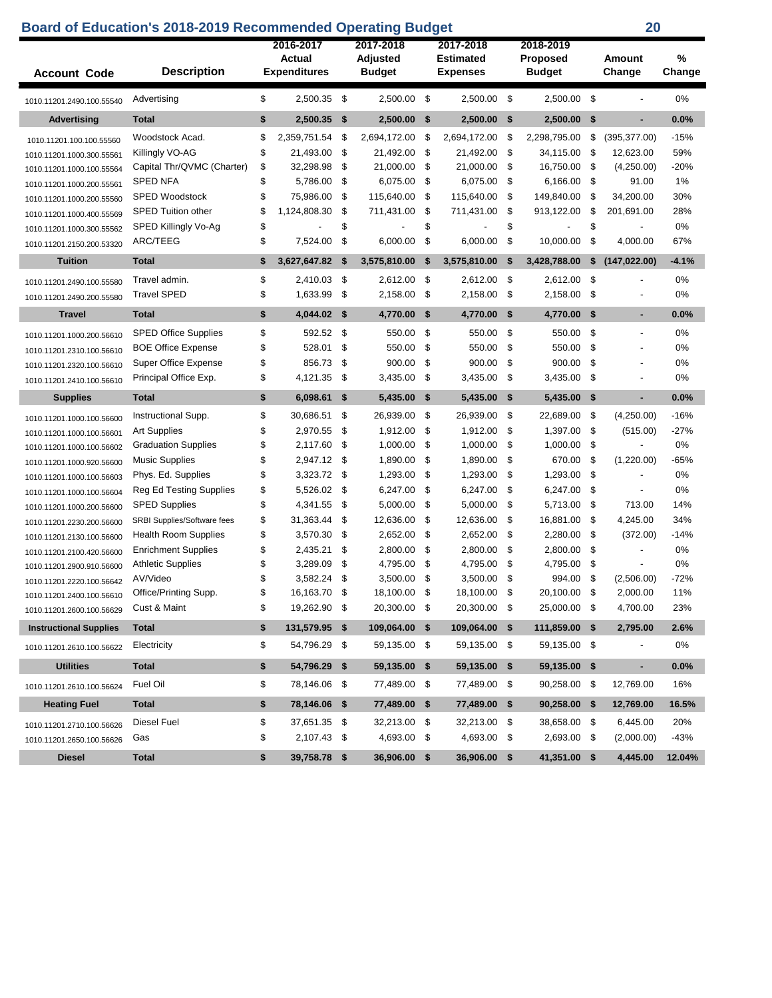|                               | <b>Board of Education's 2018-2019 Recommended Operating Budget</b> |                     |      |                       |      |                               |      |                              |      | 20                       |         |
|-------------------------------|--------------------------------------------------------------------|---------------------|------|-----------------------|------|-------------------------------|------|------------------------------|------|--------------------------|---------|
|                               |                                                                    | 2016-2017<br>Actual |      | 2017-2018<br>Adjusted |      | 2017-2018<br><b>Estimated</b> |      | 2018-2019<br><b>Proposed</b> |      | Amount                   | %       |
| <b>Account Code</b>           | <b>Description</b>                                                 | <b>Expenditures</b> |      | <b>Budget</b>         |      | <b>Expenses</b>               |      | <b>Budget</b>                |      | Change                   | Change  |
| 1010.11201.2490.100.55540     | Advertising                                                        | \$<br>2,500.35 \$   |      | 2,500.00 \$           |      | 2,500.00 \$                   |      | 2,500.00 \$                  |      |                          | 0%      |
| <b>Advertising</b>            | <b>Total</b>                                                       | \$<br>2,500.35      | - \$ | $2,500.00$ \$         |      | 2,500.00                      | -\$  | 2,500.00 \$                  |      | $\blacksquare$           | 0.0%    |
| 1010.11201.100.100.55560      | Woodstock Acad.                                                    | \$<br>2,359,751.54  | \$   | 2,694,172.00          | - \$ | 2,694,172.00                  | -\$  | 2,298,795.00                 | -\$  | (395, 377.00)            | $-15%$  |
| 1010.11201.1000.300.55561     | Killingly VO-AG                                                    | \$<br>21,493.00     | -\$  | 21,492.00             | -\$  | 21,492.00                     | -\$  | 34,115.00                    | -\$  | 12,623.00                | 59%     |
| 1010.11201.1000.100.55564     | Capital Thr/QVMC (Charter)                                         | \$<br>32,298.98     | -\$  | 21,000.00             | - \$ | 21,000.00                     | -\$  | 16,750.00                    | - \$ | (4,250.00)               | $-20%$  |
| 1010.11201.1000.200.55561     | <b>SPED NFA</b>                                                    | \$<br>5,786.00      | \$   | 6,075.00              | -\$  | 6,075.00                      | -\$  | 6,166.00                     | -\$  | 91.00                    | 1%      |
| 1010.11201.1000.200.55560     | <b>SPED Woodstock</b>                                              | \$<br>75,986.00     | \$   | 115,640.00            | \$   | 115,640.00                    | \$   | 149,840.00                   | -\$  | 34,200.00                | 30%     |
| 1010.11201.1000.400.55569     | <b>SPED Tuition other</b>                                          | \$<br>1,124,808.30  | \$   | 711,431.00            | \$   | 711,431.00                    | \$   | 913,122.00                   | -\$  | 201,691.00               | 28%     |
| 1010.11201.1000.300.55562     | SPED Killingly Vo-Ag                                               | \$                  | \$   |                       | \$   |                               | \$   |                              | \$   |                          | 0%      |
| 1010.11201.2150.200.53320     | ARC/TEEG                                                           | \$<br>7,524.00      | \$   | 6,000.00              | \$   | 6,000.00                      | \$   | 10,000.00                    | \$   | 4,000.00                 | 67%     |
| <b>Tuition</b>                | <b>Total</b>                                                       | \$<br>3,627,647.82  | \$   | 3,575,810.00          | \$   | 3,575,810.00                  | \$   | 3,428,788.00                 | \$   | (147, 022.00)            | $-4.1%$ |
|                               | Travel admin.                                                      | \$<br>2,410.03      | -\$  | 2,612.00              | - \$ | 2,612.00                      | -\$  | 2,612.00                     | -\$  |                          | 0%      |
| 1010.11201.2490.100.55580     | <b>Travel SPED</b>                                                 | \$<br>1,633.99      | \$   | 2,158.00              | -\$  | 2,158.00                      | \$   | 2,158.00                     | \$   |                          | 0%      |
| 1010.11201.2490.200.55580     |                                                                    |                     |      |                       |      |                               |      |                              |      |                          |         |
| <b>Travel</b>                 | <b>Total</b>                                                       | \$<br>4,044.02      | -\$  | 4,770.00              | -\$  | 4,770.00                      | \$   | 4,770.00                     | -\$  | ٠                        | 0.0%    |
| 1010.11201.1000.200.56610     | <b>SPED Office Supplies</b>                                        | \$<br>592.52        | -\$  | 550.00                | \$   | 550.00                        | \$   | 550.00                       | \$   |                          | 0%      |
| 1010.11201.2310.100.56610     | <b>BOE Office Expense</b>                                          | \$<br>528.01        | \$   | 550.00                | \$   | 550.00                        | \$   | 550.00                       | \$   |                          | 0%      |
| 1010.11201.2320.100.56610     | Super Office Expense                                               | \$<br>856.73        | \$   | 900.00                | \$   | 900.00                        | \$   | 900.00                       | \$   |                          | 0%      |
| 1010.11201.2410.100.56610     | Principal Office Exp.                                              | \$<br>4,121.35      | \$   | 3,435.00              | -\$  | 3,435.00                      | \$   | 3,435.00                     | \$   |                          | 0%      |
| <b>Supplies</b>               | <b>Total</b>                                                       | \$<br>6,098.61      | \$   | 5,435.00              | -\$  | 5,435.00                      | -\$  | 5,435.00                     | -\$  | ٠                        | 0.0%    |
| 1010.11201.1000.100.56600     | Instructional Supp.                                                | \$<br>30,686.51     | \$   | 26,939.00             | -\$  | 26,939.00                     | \$   | 22,689.00                    | -\$  | (4,250.00)               | $-16%$  |
| 1010.11201.1000.100.56601     | <b>Art Supplies</b>                                                | \$<br>2,970.55      | \$   | 1,912.00              | \$   | 1,912.00                      | \$   | 1,397.00                     | -\$  | (515.00)                 | $-27%$  |
| 1010.11201.1000.100.56602     | <b>Graduation Supplies</b>                                         | \$<br>2,117.60      | \$   | 1,000.00              | \$   | 1,000.00                      | \$   | 1,000.00                     | -\$  |                          | 0%      |
| 1010.11201.1000.920.56600     | <b>Music Supplies</b>                                              | \$<br>2,947.12      | -\$  | 1,890.00              | \$   | 1,890.00                      | \$   | 670.00                       | -\$  | (1,220.00)               | $-65%$  |
| 1010.11201.1000.100.56603     | Phys. Ed. Supplies                                                 | \$<br>3,323.72      | -\$  | 1,293.00              | \$   | 1,293.00                      | \$   | 1,293.00                     | -\$  | $\overline{a}$           | 0%      |
| 1010.11201.1000.100.56604     | <b>Reg Ed Testing Supplies</b>                                     | \$<br>5,526.02      | -\$  | 6,247.00              | \$   | 6,247.00                      | \$   | 6,247.00                     | -\$  | $\overline{\phantom{a}}$ | 0%      |
| 1010.11201.1000.200.56600     | <b>SPED Supplies</b>                                               | \$<br>4,341.55      | \$   | 5,000.00              | \$   | 5,000.00                      | \$   | 5,713.00                     | -\$  | 713.00                   | 14%     |
| 1010.11201.2230.200.56600     | SRBI Supplies/Software fees                                        | \$<br>31,363.44     | \$   | 12,636.00             | \$   | 12,636.00                     | \$   | 16,881.00                    | \$   | 4,245.00                 | 34%     |
| 1010.11201.2130.100.56600     | <b>Health Room Supplies</b>                                        | \$<br>3,570.30      | \$   | 2,652.00              | \$   | 2,652.00                      | \$   | 2,280.00                     | \$   | (372.00)                 | $-14%$  |
| 1010.11201.2100.420.56600     | <b>Enrichment Supplies</b>                                         | \$<br>2,435.21      | \$   | 2,800.00              | \$   | 2,800.00                      | \$   | 2,800.00                     | \$   |                          | 0%      |
| 1010.11201.2900.910.56600     | <b>Athletic Supplies</b>                                           | \$<br>3,289.09      | \$   | 4,795.00              | \$   | 4,795.00                      | \$   | 4,795.00                     | \$   |                          | 0%      |
| 1010.11201.2220.100.56642     | AV/Video                                                           | \$<br>3,582.24      | \$   | 3,500.00              | -\$  | 3,500.00                      | \$   | 994.00                       | -\$  | (2,506.00)               | $-72%$  |
| 1010.11201.2400.100.56610     | Office/Printing Supp.                                              | \$<br>16,163.70     | - \$ | 18,100.00 \$          |      | 18,100.00                     | - \$ | 20,100.00                    | -\$  | 2,000.00                 | 11%     |
| 1010.11201.2600.100.56629     | Cust & Maint                                                       | \$<br>19,262.90 \$  |      | 20,300.00 \$          |      | 20,300.00 \$                  |      | 25,000.00 \$                 |      | 4,700.00                 | 23%     |
| <b>Instructional Supplies</b> | <b>Total</b>                                                       | \$<br>131,579.95 \$ |      | 109,064.00 \$         |      | 109,064.00 \$                 |      | 111,859.00 \$                |      | 2,795.00                 | 2.6%    |
| 1010.11201.2610.100.56622     | Electricity                                                        | \$<br>54,796.29 \$  |      | 59,135.00 \$          |      | 59,135.00 \$                  |      | 59,135.00 \$                 |      | $\overline{\phantom{a}}$ | 0%      |
| <b>Utilities</b>              | <b>Total</b>                                                       | \$<br>54,796.29 \$  |      | 59,135.00 \$          |      | 59,135.00 \$                  |      | 59,135.00 \$                 |      | ٠                        | 0.0%    |
| 1010.11201.2610.100.56624     | Fuel Oil                                                           | \$<br>78,146.06 \$  |      | 77,489.00 \$          |      | 77,489.00 \$                  |      | 90,258.00 \$                 |      | 12,769.00                | 16%     |
| <b>Heating Fuel</b>           | <b>Total</b>                                                       | \$<br>78,146.06 \$  |      | 77,489.00 \$          |      | 77,489.00                     | - \$ | 90,258.00 \$                 |      | 12,769.00                | 16.5%   |
| 1010.11201.2710.100.56626     | Diesel Fuel                                                        | \$<br>37,651.35 \$  |      | 32,213.00 \$          |      | 32,213.00 \$                  |      | 38,658.00 \$                 |      | 6,445.00                 | 20%     |
| 1010.11201.2650.100.56626     | Gas                                                                | \$<br>2,107.43 \$   |      | 4,693.00 \$           |      | 4,693.00 \$                   |      | 2,693.00 \$                  |      | (2,000.00)               | $-43%$  |
| <b>Diesel</b>                 | <b>Total</b>                                                       | \$<br>39,758.78 \$  |      | 36,906.00 \$          |      | 36,906.00 \$                  |      | 41,351.00 \$                 |      | 4,445.00                 | 12.04%  |